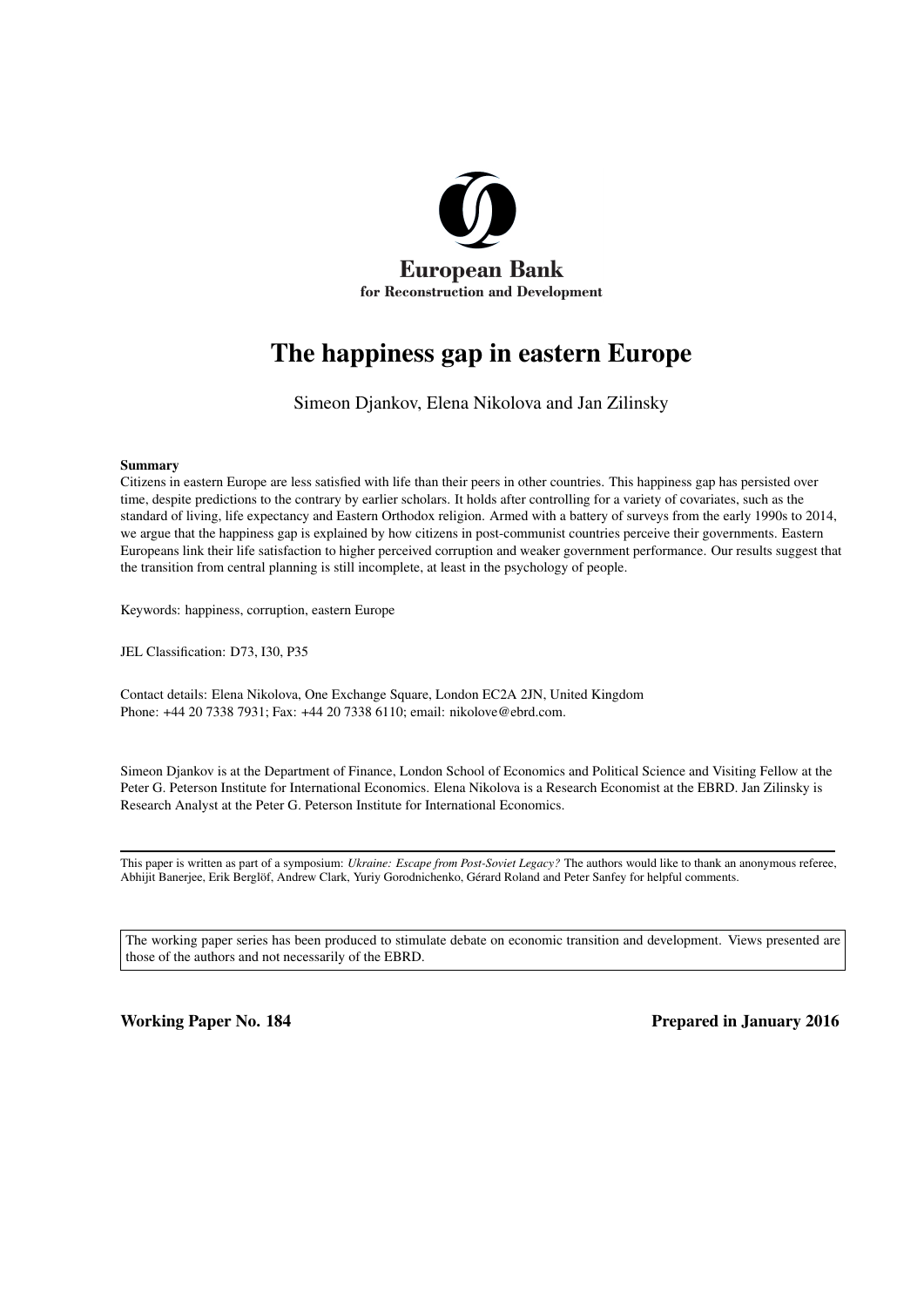

# The happiness gap in eastern Europe

Simeon Djankov, Elena Nikolova and Jan Zilinsky

#### Summary

Citizens in eastern Europe are less satisfied with life than their peers in other countries. This happiness gap has persisted over time, despite predictions to the contrary by earlier scholars. It holds after controlling for a variety of covariates, such as the standard of living, life expectancy and Eastern Orthodox religion. Armed with a battery of surveys from the early 1990s to 2014, we argue that the happiness gap is explained by how citizens in post-communist countries perceive their governments. Eastern Europeans link their life satisfaction to higher perceived corruption and weaker government performance. Our results suggest that the transition from central planning is still incomplete, at least in the psychology of people.

Keywords: happiness, corruption, eastern Europe

JEL Classification: D73, I30, P35

Contact details: Elena Nikolova, One Exchange Square, London EC2A 2JN, United Kingdom Phone: +44 20 7338 7931; Fax: +44 20 7338 6110; email: nikolove@ebrd.com.

Simeon Djankov is at the Department of Finance, London School of Economics and Political Science and Visiting Fellow at the Peter G. Peterson Institute for International Economics. Elena Nikolova is a Research Economist at the EBRD. Jan Zilinsky is Research Analyst at the Peter G. Peterson Institute for International Economics.

This paper is written as part of a symposium: *Ukraine: Escape from Post-Soviet Legacy?* The authors would like to thank an anonymous referee, Abhijit Banerjee, Erik Berglöf, Andrew Clark, Yuriy Gorodnichenko, Gérard Roland and Peter Sanfey for helpful comments.

The working paper series has been produced to stimulate debate on economic transition and development. Views presented are those of the authors and not necessarily of the EBRD.

Working Paper No. 184 **Prepared in January 2016** Prepared in January 2016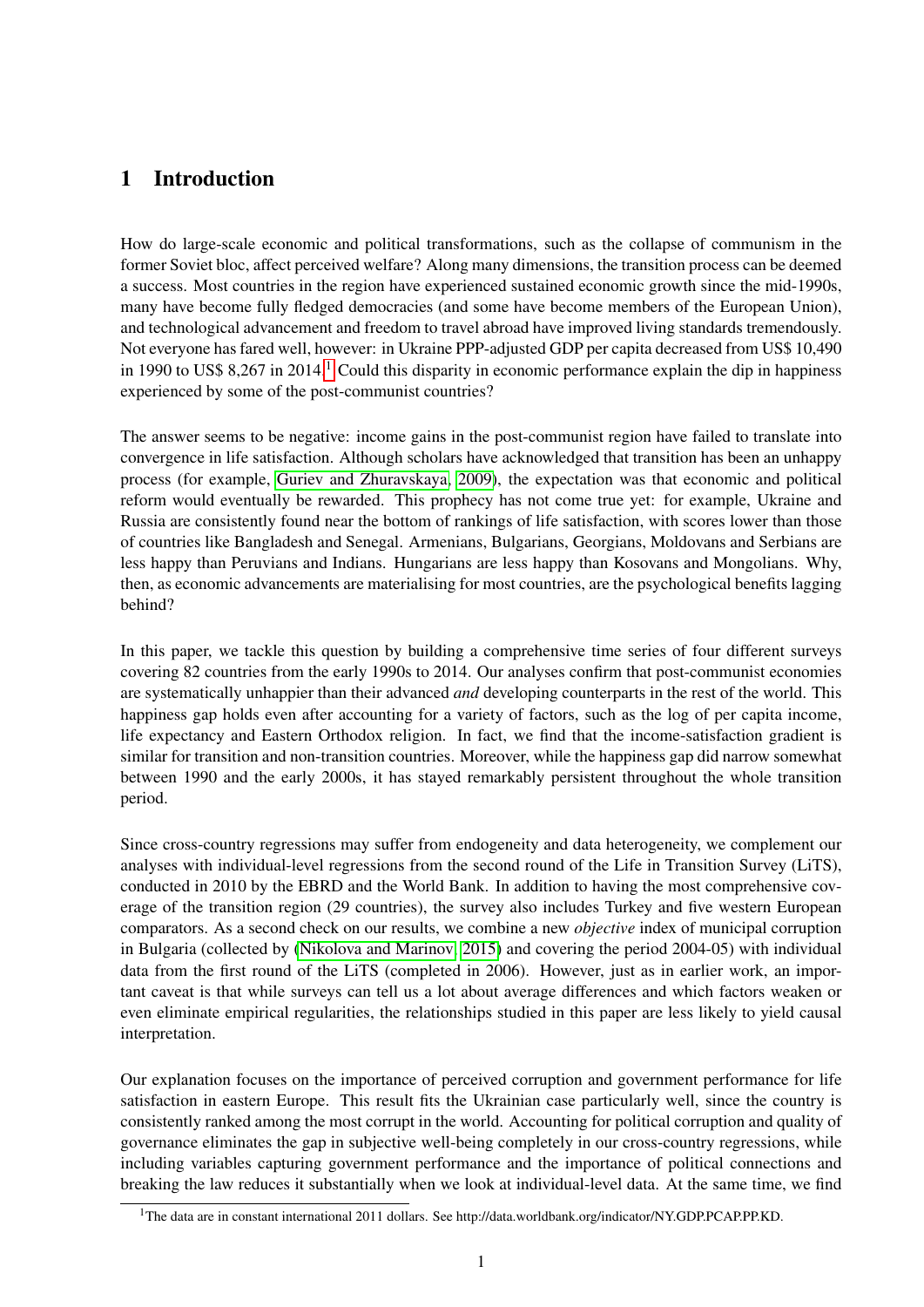# 1 Introduction

How do large-scale economic and political transformations, such as the collapse of communism in the former Soviet bloc, affect perceived welfare? Along many dimensions, the transition process can be deemed a success. Most countries in the region have experienced sustained economic growth since the mid-1990s, many have become fully fledged democracies (and some have become members of the European Union), and technological advancement and freedom to travel abroad have improved living standards tremendously. Not everyone has fared well, however: in Ukraine PPP-adjusted GDP per capita decreased from US\$ 10,490 in [1](#page-1-0)990 to US\$ 8,267 in 2014.<sup>1</sup> Could this disparity in economic performance explain the dip in happiness experienced by some of the post-communist countries?

The answer seems to be negative: income gains in the post-communist region have failed to translate into convergence in life satisfaction. Although scholars have acknowledged that transition has been an unhappy process (for example, [Guriev and Zhuravskaya, 2009\)](#page-18-0), the expectation was that economic and political reform would eventually be rewarded. This prophecy has not come true yet: for example, Ukraine and Russia are consistently found near the bottom of rankings of life satisfaction, with scores lower than those of countries like Bangladesh and Senegal. Armenians, Bulgarians, Georgians, Moldovans and Serbians are less happy than Peruvians and Indians. Hungarians are less happy than Kosovans and Mongolians. Why, then, as economic advancements are materialising for most countries, are the psychological benefits lagging behind?

In this paper, we tackle this question by building a comprehensive time series of four different surveys covering 82 countries from the early 1990s to 2014. Our analyses confirm that post-communist economies are systematically unhappier than their advanced *and* developing counterparts in the rest of the world. This happiness gap holds even after accounting for a variety of factors, such as the log of per capita income, life expectancy and Eastern Orthodox religion. In fact, we find that the income-satisfaction gradient is similar for transition and non-transition countries. Moreover, while the happiness gap did narrow somewhat between 1990 and the early 2000s, it has stayed remarkably persistent throughout the whole transition period.

Since cross-country regressions may suffer from endogeneity and data heterogeneity, we complement our analyses with individual-level regressions from the second round of the Life in Transition Survey (LiTS), conducted in 2010 by the EBRD and the World Bank. In addition to having the most comprehensive coverage of the transition region (29 countries), the survey also includes Turkey and five western European comparators. As a second check on our results, we combine a new *objective* index of municipal corruption in Bulgaria (collected by [\(Nikolova and Marinov, 2015\)](#page-18-1) and covering the period 2004-05) with individual data from the first round of the LiTS (completed in 2006). However, just as in earlier work, an important caveat is that while surveys can tell us a lot about average differences and which factors weaken or even eliminate empirical regularities, the relationships studied in this paper are less likely to yield causal interpretation.

Our explanation focuses on the importance of perceived corruption and government performance for life satisfaction in eastern Europe. This result fits the Ukrainian case particularly well, since the country is consistently ranked among the most corrupt in the world. Accounting for political corruption and quality of governance eliminates the gap in subjective well-being completely in our cross-country regressions, while including variables capturing government performance and the importance of political connections and breaking the law reduces it substantially when we look at individual-level data. At the same time, we find

<span id="page-1-0"></span><sup>&</sup>lt;sup>1</sup>The data are in constant international 2011 dollars. See http://data.worldbank.org/indicator/NY.GDP.PCAP.PP.KD.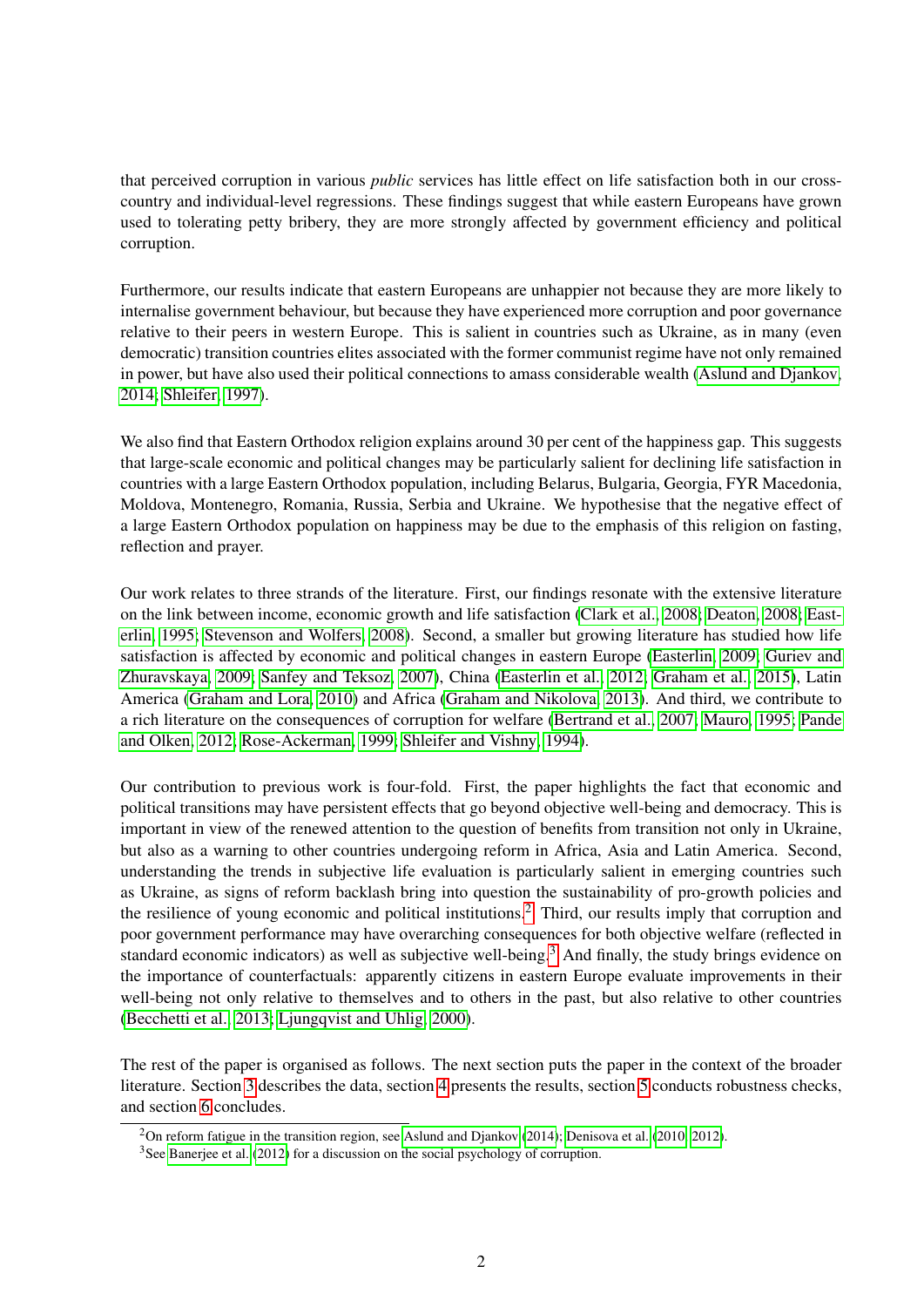that perceived corruption in various *public* services has little effect on life satisfaction both in our crosscountry and individual-level regressions. These findings suggest that while eastern Europeans have grown used to tolerating petty bribery, they are more strongly affected by government efficiency and political corruption.

Furthermore, our results indicate that eastern Europeans are unhappier not because they are more likely to internalise government behaviour, but because they have experienced more corruption and poor governance relative to their peers in western Europe. This is salient in countries such as Ukraine, as in many (even democratic) transition countries elites associated with the former communist regime have not only remained in power, but have also used their political connections to amass considerable wealth [\(Aslund and Djankov,](#page-17-0) [2014;](#page-17-0) [Shleifer, 1997\)](#page-18-2).

We also find that Eastern Orthodox religion explains around 30 per cent of the happiness gap. This suggests that large-scale economic and political changes may be particularly salient for declining life satisfaction in countries with a large Eastern Orthodox population, including Belarus, Bulgaria, Georgia, FYR Macedonia, Moldova, Montenegro, Romania, Russia, Serbia and Ukraine. We hypothesise that the negative effect of a large Eastern Orthodox population on happiness may be due to the emphasis of this religion on fasting, reflection and prayer.

Our work relates to three strands of the literature. First, our findings resonate with the extensive literature on the link between income, economic growth and life satisfaction [\(Clark et al., 2008;](#page-17-1) [Deaton, 2008;](#page-17-2) [East](#page-17-3)[erlin, 1995;](#page-17-3) [Stevenson and Wolfers, 2008\)](#page-19-0). Second, a smaller but growing literature has studied how life satisfaction is affected by economic and political changes in eastern Europe [\(Easterlin, 2009;](#page-17-4) [Guriev and](#page-18-0) [Zhuravskaya, 2009;](#page-18-0) [Sanfey and Teksoz, 2007\)](#page-18-3), China [\(Easterlin et al., 2012;](#page-17-5) [Graham et al., 2015\)](#page-18-4), Latin America [\(Graham and Lora, 2010\)](#page-18-5) and Africa [\(Graham and Nikolova, 2013\)](#page-18-6). And third, we contribute to a rich literature on the consequences of corruption for welfare [\(Bertrand et al., 2007;](#page-17-6) [Mauro, 1995;](#page-18-7) [Pande](#page-18-8) [and Olken, 2012;](#page-18-8) [Rose-Ackerman, 1999;](#page-18-9) [Shleifer and Vishny, 1994\)](#page-18-10).

Our contribution to previous work is four-fold. First, the paper highlights the fact that economic and political transitions may have persistent effects that go beyond objective well-being and democracy. This is important in view of the renewed attention to the question of benefits from transition not only in Ukraine, but also as a warning to other countries undergoing reform in Africa, Asia and Latin America. Second, understanding the trends in subjective life evaluation is particularly salient in emerging countries such as Ukraine, as signs of reform backlash bring into question the sustainability of pro-growth policies and the resilience of young economic and political institutions.[2](#page-2-0) Third, our results imply that corruption and poor government performance may have overarching consequences for both objective welfare (reflected in standard economic indicators) as well as subjective well-being.<sup>[3](#page-2-1)</sup> And finally, the study brings evidence on the importance of counterfactuals: apparently citizens in eastern Europe evaluate improvements in their well-being not only relative to themselves and to others in the past, but also relative to other countries [\(Becchetti et al., 2013;](#page-17-7) [Ljungqvist and Uhlig, 2000\)](#page-18-11).

The rest of the paper is organised as follows. The next section puts the paper in the context of the broader literature. Section [3](#page-5-0) describes the data, section [4](#page-10-0) presents the results, section [5](#page-15-0) conducts robustness checks, and section [6](#page-16-0) concludes.

<span id="page-2-0"></span><sup>&</sup>lt;sup>2</sup>On reform fatigue in the transition region, see [Aslund and Djankov](#page-17-0) [\(2014\)](#page-17-0); [Denisova et al.](#page-17-8) [\(2010,](#page-17-8) [2012\)](#page-17-9).

<span id="page-2-1"></span><sup>&</sup>lt;sup>3</sup>See [Banerjee et al.](#page-17-10) [\(2012\)](#page-17-10) for a discussion on the social psychology of corruption.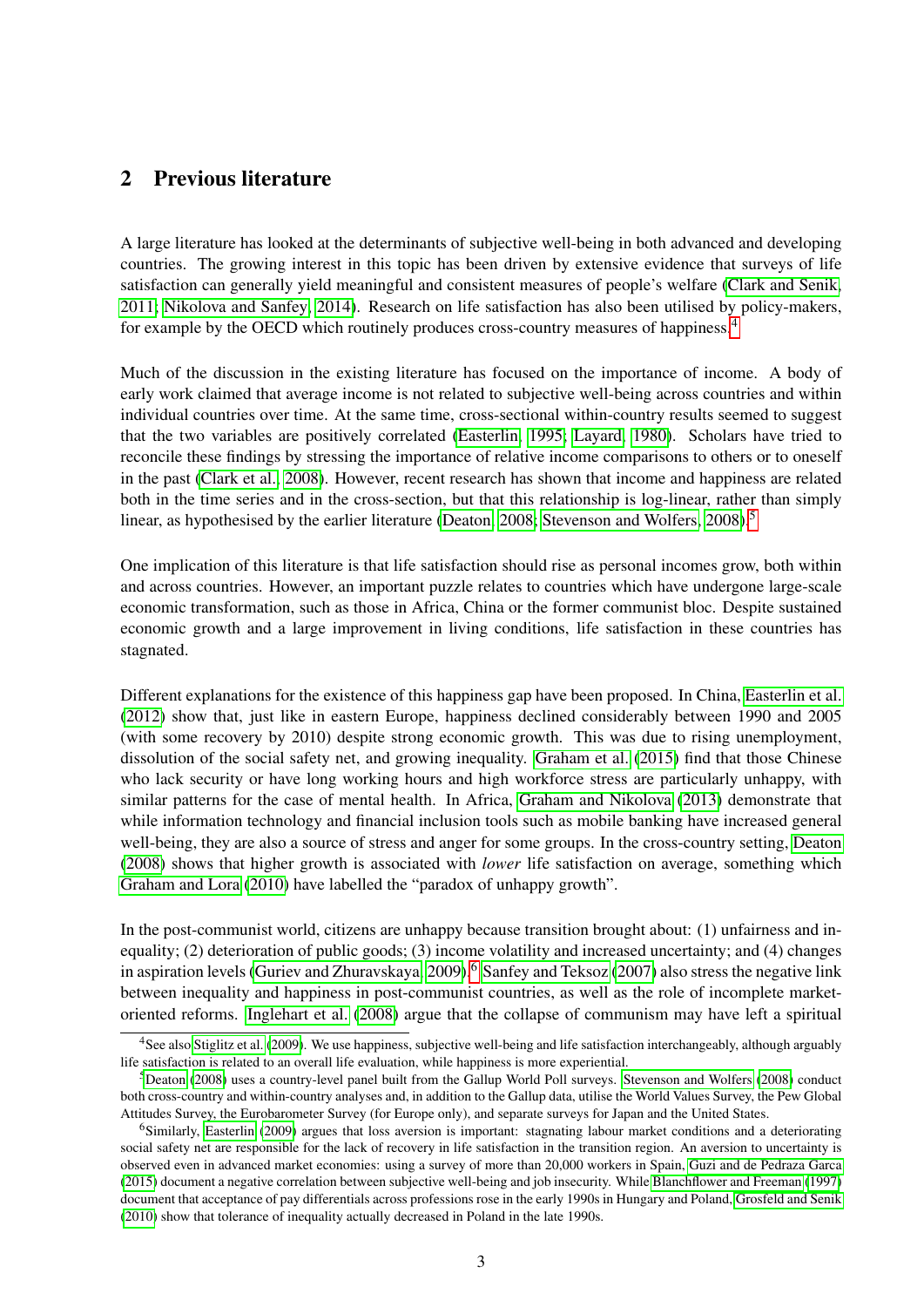### 2 Previous literature

A large literature has looked at the determinants of subjective well-being in both advanced and developing countries. The growing interest in this topic has been driven by extensive evidence that surveys of life satisfaction can generally yield meaningful and consistent measures of people's welfare [\(Clark and Senik,](#page-17-11) [2011;](#page-17-11) [Nikolova and Sanfey, 2014\)](#page-18-12). Research on life satisfaction has also been utilised by policy-makers, for example by the OECD which routinely produces cross-country measures of happiness.[4](#page-3-0)

Much of the discussion in the existing literature has focused on the importance of income. A body of early work claimed that average income is not related to subjective well-being across countries and within individual countries over time. At the same time, cross-sectional within-country results seemed to suggest that the two variables are positively correlated [\(Easterlin, 1995;](#page-17-3) [Layard, 1980\)](#page-18-13). Scholars have tried to reconcile these findings by stressing the importance of relative income comparisons to others or to oneself in the past [\(Clark et al., 2008\)](#page-17-1). However, recent research has shown that income and happiness are related both in the time series and in the cross-section, but that this relationship is log-linear, rather than simply linear, as hypothesised by the earlier literature [\(Deaton, 2008;](#page-17-2) [Stevenson and Wolfers, 2008\)](#page-19-0).<sup>[5](#page-3-1)</sup>

One implication of this literature is that life satisfaction should rise as personal incomes grow, both within and across countries. However, an important puzzle relates to countries which have undergone large-scale economic transformation, such as those in Africa, China or the former communist bloc. Despite sustained economic growth and a large improvement in living conditions, life satisfaction in these countries has stagnated.

Different explanations for the existence of this happiness gap have been proposed. In China, [Easterlin et al.](#page-17-5) [\(2012\)](#page-17-5) show that, just like in eastern Europe, happiness declined considerably between 1990 and 2005 (with some recovery by 2010) despite strong economic growth. This was due to rising unemployment, dissolution of the social safety net, and growing inequality. [Graham et al.](#page-18-4) [\(2015\)](#page-18-4) find that those Chinese who lack security or have long working hours and high workforce stress are particularly unhappy, with similar patterns for the case of mental health. In Africa, [Graham and Nikolova](#page-18-6) [\(2013\)](#page-18-6) demonstrate that while information technology and financial inclusion tools such as mobile banking have increased general well-being, they are also a source of stress and anger for some groups. In the cross-country setting, [Deaton](#page-17-2) [\(2008\)](#page-17-2) shows that higher growth is associated with *lower* life satisfaction on average, something which [Graham and Lora](#page-18-5) [\(2010\)](#page-18-5) have labelled the "paradox of unhappy growth".

In the post-communist world, citizens are unhappy because transition brought about: (1) unfairness and inequality; (2) deterioration of public goods; (3) income volatility and increased uncertainty; and (4) changes in aspiration levels [\(Guriev and Zhuravskaya, 2009\)](#page-18-0).<sup>[6](#page-3-2)</sup> [Sanfey and Teksoz](#page-18-3) [\(2007\)](#page-18-3) also stress the negative link between inequality and happiness in post-communist countries, as well as the role of incomplete marketoriented reforms. [Inglehart et al.](#page-18-14) [\(2008\)](#page-18-14) argue that the collapse of communism may have left a spiritual

<span id="page-3-0"></span><sup>&</sup>lt;sup>4</sup>See also [Stiglitz et al.](#page-19-1) [\(2009\)](#page-19-1). We use happiness, subjective well-being and life satisfaction interchangeably, although arguably life satisfaction is related to an overall life evaluation, while happiness is more experiential.

<span id="page-3-1"></span><sup>5</sup>[Deaton](#page-17-2) [\(2008\)](#page-17-2) uses a country-level panel built from the Gallup World Poll surveys. [Stevenson and Wolfers](#page-19-0) [\(2008\)](#page-19-0) conduct both cross-country and within-country analyses and, in addition to the Gallup data, utilise the World Values Survey, the Pew Global Attitudes Survey, the Eurobarometer Survey (for Europe only), and separate surveys for Japan and the United States.

<span id="page-3-2"></span><sup>&</sup>lt;sup>6</sup>Similarly, [Easterlin](#page-17-4) [\(2009\)](#page-17-4) argues that loss aversion is important: stagnating labour market conditions and a deteriorating social safety net are responsible for the lack of recovery in life satisfaction in the transition region. An aversion to uncertainty is observed even in advanced market economies: using a survey of more than 20,000 workers in Spain, [Guzi and de Pedraza Garca](#page-18-15) [\(2015\)](#page-18-15) document a negative correlation between subjective well-being and job insecurity. While [Blanchflower and Freeman](#page-17-12) [\(1997\)](#page-17-12) document that acceptance of pay differentials across professions rose in the early 1990s in Hungary and Poland, [Grosfeld and Senik](#page-18-16) [\(2010\)](#page-18-16) show that tolerance of inequality actually decreased in Poland in the late 1990s.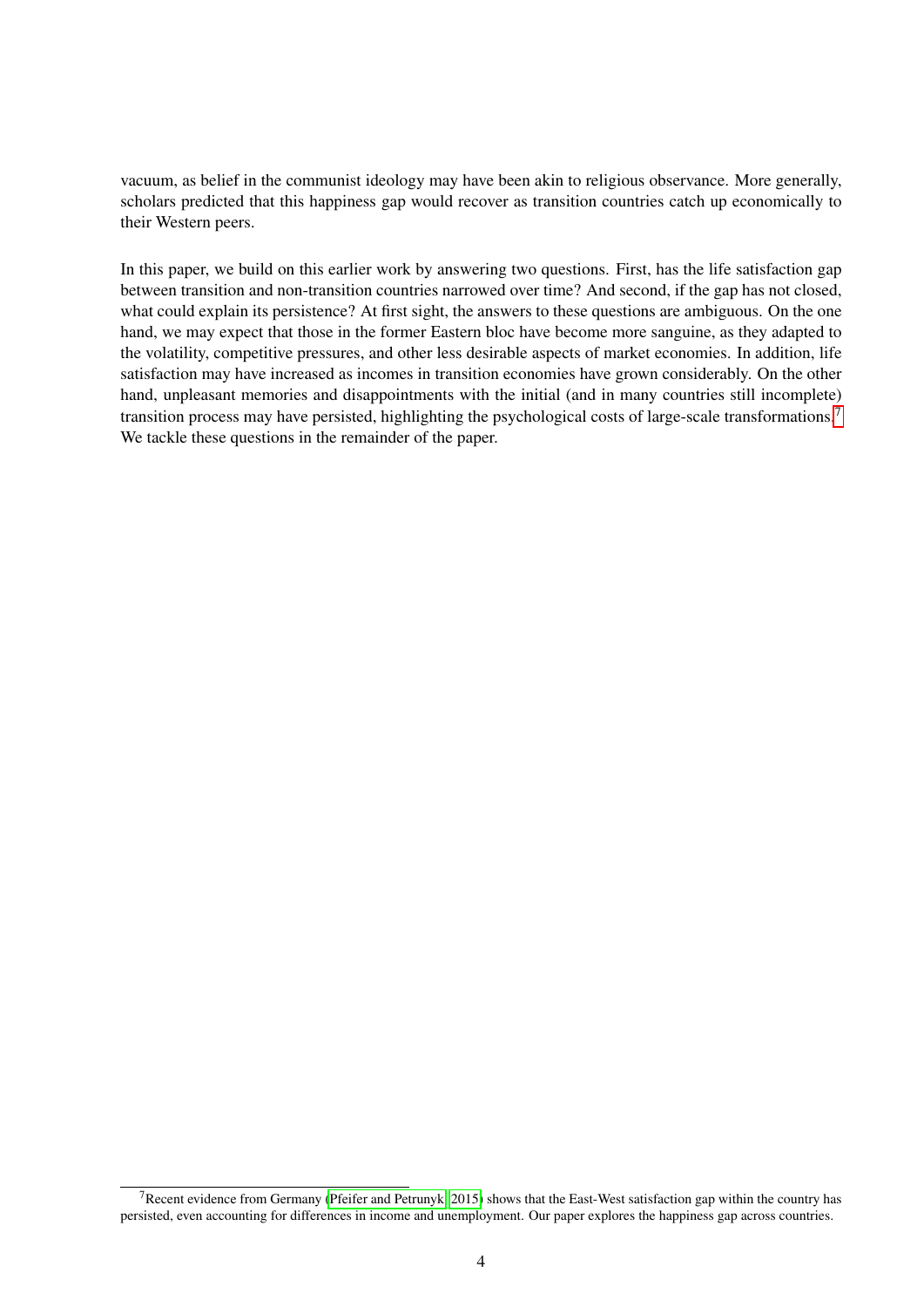vacuum, as belief in the communist ideology may have been akin to religious observance. More generally, scholars predicted that this happiness gap would recover as transition countries catch up economically to their Western peers.

In this paper, we build on this earlier work by answering two questions. First, has the life satisfaction gap between transition and non-transition countries narrowed over time? And second, if the gap has not closed, what could explain its persistence? At first sight, the answers to these questions are ambiguous. On the one hand, we may expect that those in the former Eastern bloc have become more sanguine, as they adapted to the volatility, competitive pressures, and other less desirable aspects of market economies. In addition, life satisfaction may have increased as incomes in transition economies have grown considerably. On the other hand, unpleasant memories and disappointments with the initial (and in many countries still incomplete) transition process may have persisted, highlighting the psychological costs of large-scale transformations.[7](#page-4-0) We tackle these questions in the remainder of the paper.

<span id="page-4-0"></span><sup>&</sup>lt;sup>7</sup>Recent evidence from Germany [\(Pfeifer and Petrunyk, 2015\)](#page-18-17) shows that the East-West satisfaction gap within the country has persisted, even accounting for differences in income and unemployment. Our paper explores the happiness gap across countries.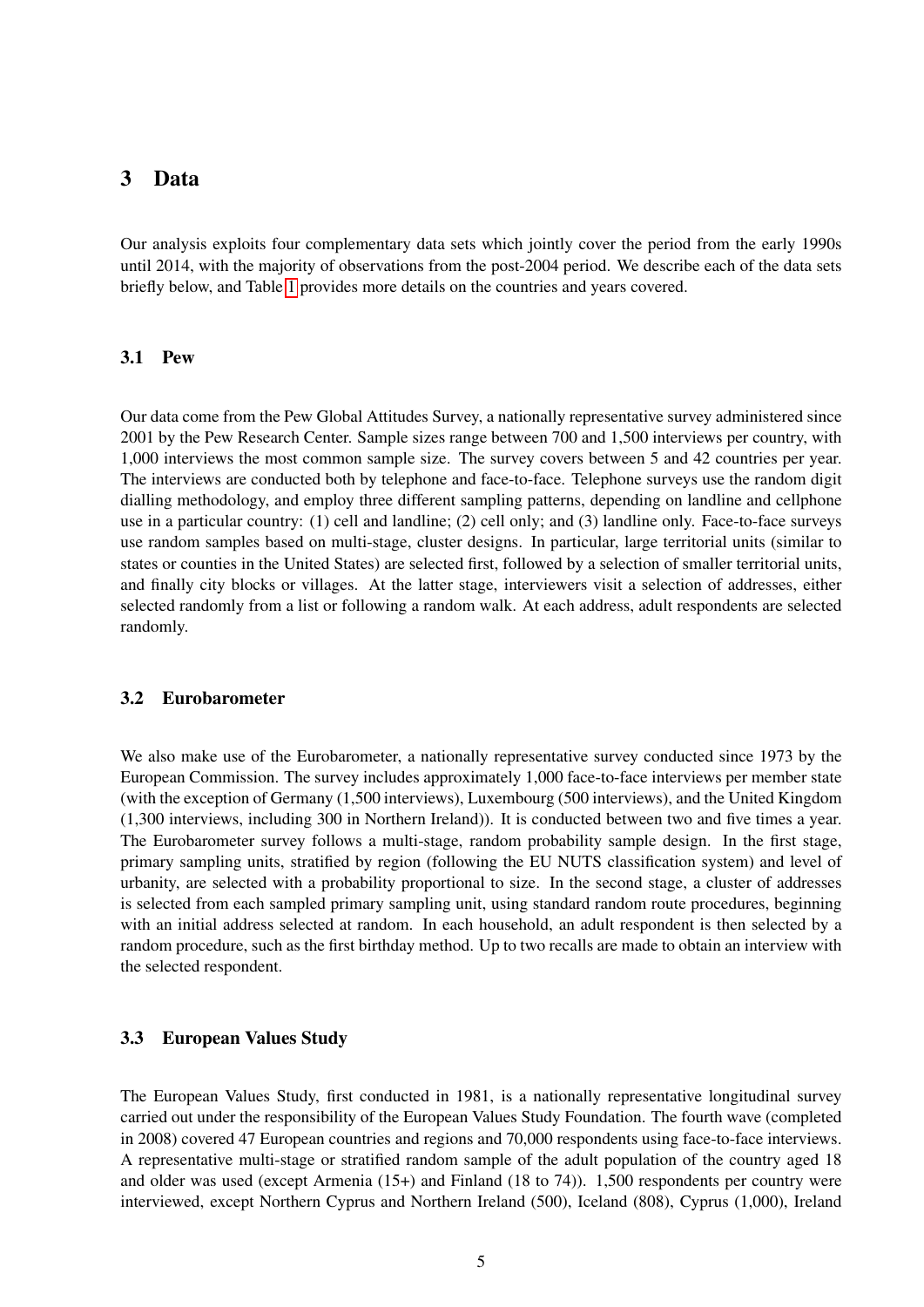### <span id="page-5-0"></span>3 Data

Our analysis exploits four complementary data sets which jointly cover the period from the early 1990s until 2014, with the majority of observations from the post-2004 period. We describe each of the data sets briefly below, and Table [1](#page-23-0) provides more details on the countries and years covered.

#### 3.1 Pew

Our data come from the Pew Global Attitudes Survey, a nationally representative survey administered since 2001 by the Pew Research Center. Sample sizes range between 700 and 1,500 interviews per country, with 1,000 interviews the most common sample size. The survey covers between 5 and 42 countries per year. The interviews are conducted both by telephone and face-to-face. Telephone surveys use the random digit dialling methodology, and employ three different sampling patterns, depending on landline and cellphone use in a particular country: (1) cell and landline; (2) cell only; and (3) landline only. Face-to-face surveys use random samples based on multi-stage, cluster designs. In particular, large territorial units (similar to states or counties in the United States) are selected first, followed by a selection of smaller territorial units, and finally city blocks or villages. At the latter stage, interviewers visit a selection of addresses, either selected randomly from a list or following a random walk. At each address, adult respondents are selected randomly.

#### 3.2 Eurobarometer

We also make use of the Eurobarometer, a nationally representative survey conducted since 1973 by the European Commission. The survey includes approximately 1,000 face-to-face interviews per member state (with the exception of Germany (1,500 interviews), Luxembourg (500 interviews), and the United Kingdom (1,300 interviews, including 300 in Northern Ireland)). It is conducted between two and five times a year. The Eurobarometer survey follows a multi-stage, random probability sample design. In the first stage, primary sampling units, stratified by region (following the EU NUTS classification system) and level of urbanity, are selected with a probability proportional to size. In the second stage, a cluster of addresses is selected from each sampled primary sampling unit, using standard random route procedures, beginning with an initial address selected at random. In each household, an adult respondent is then selected by a random procedure, such as the first birthday method. Up to two recalls are made to obtain an interview with the selected respondent.

#### 3.3 European Values Study

The European Values Study, first conducted in 1981, is a nationally representative longitudinal survey carried out under the responsibility of the European Values Study Foundation. The fourth wave (completed in 2008) covered 47 European countries and regions and 70,000 respondents using face-to-face interviews. A representative multi-stage or stratified random sample of the adult population of the country aged 18 and older was used (except Armenia (15+) and Finland (18 to 74)). 1,500 respondents per country were interviewed, except Northern Cyprus and Northern Ireland (500), Iceland (808), Cyprus (1,000), Ireland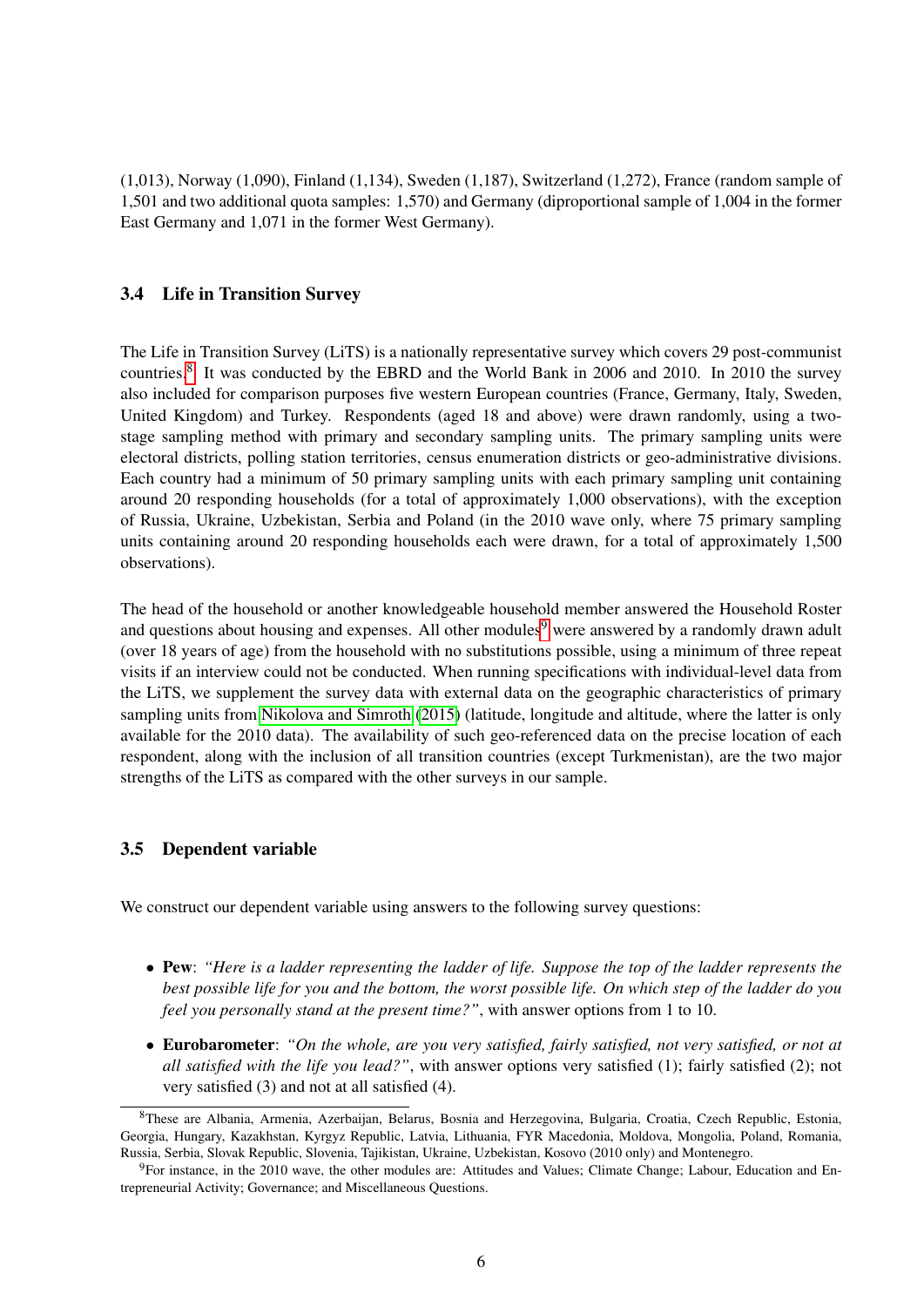(1,013), Norway (1,090), Finland (1,134), Sweden (1,187), Switzerland (1,272), France (random sample of 1,501 and two additional quota samples: 1,570) and Germany (diproportional sample of 1,004 in the former East Germany and 1,071 in the former West Germany).

#### 3.4 Life in Transition Survey

The Life in Transition Survey (LiTS) is a nationally representative survey which covers 29 post-communist countries.<sup>[8](#page-6-0)</sup> It was conducted by the EBRD and the World Bank in 2006 and 2010. In 2010 the survey also included for comparison purposes five western European countries (France, Germany, Italy, Sweden, United Kingdom) and Turkey. Respondents (aged 18 and above) were drawn randomly, using a twostage sampling method with primary and secondary sampling units. The primary sampling units were electoral districts, polling station territories, census enumeration districts or geo-administrative divisions. Each country had a minimum of 50 primary sampling units with each primary sampling unit containing around 20 responding households (for a total of approximately 1,000 observations), with the exception of Russia, Ukraine, Uzbekistan, Serbia and Poland (in the 2010 wave only, where 75 primary sampling units containing around 20 responding households each were drawn, for a total of approximately 1,500 observations).

The head of the household or another knowledgeable household member answered the Household Roster and questions about housing and expenses. All other modules<sup>[9](#page-6-1)</sup> were answered by a randomly drawn adult (over 18 years of age) from the household with no substitutions possible, using a minimum of three repeat visits if an interview could not be conducted. When running specifications with individual-level data from the LiTS, we supplement the survey data with external data on the geographic characteristics of primary sampling units from [Nikolova and Simroth](#page-18-18) [\(2015\)](#page-18-18) (latitude, longitude and altitude, where the latter is only available for the 2010 data). The availability of such geo-referenced data on the precise location of each respondent, along with the inclusion of all transition countries (except Turkmenistan), are the two major strengths of the LiTS as compared with the other surveys in our sample.

### 3.5 Dependent variable

We construct our dependent variable using answers to the following survey questions:

- Pew: *"Here is a ladder representing the ladder of life. Suppose the top of the ladder represents the best possible life for you and the bottom, the worst possible life. On which step of the ladder do you feel you personally stand at the present time?"*, with answer options from 1 to 10.
- Eurobarometer: *"On the whole, are you very satisfied, fairly satisfied, not very satisfied, or not at all satisfied with the life you lead?"*, with answer options very satisfied (1); fairly satisfied (2); not very satisfied (3) and not at all satisfied (4).

<span id="page-6-0"></span><sup>8</sup>These are Albania, Armenia, Azerbaijan, Belarus, Bosnia and Herzegovina, Bulgaria, Croatia, Czech Republic, Estonia, Georgia, Hungary, Kazakhstan, Kyrgyz Republic, Latvia, Lithuania, FYR Macedonia, Moldova, Mongolia, Poland, Romania, Russia, Serbia, Slovak Republic, Slovenia, Tajikistan, Ukraine, Uzbekistan, Kosovo (2010 only) and Montenegro.

<span id="page-6-1"></span><sup>9</sup>For instance, in the 2010 wave, the other modules are: Attitudes and Values; Climate Change; Labour, Education and Entrepreneurial Activity; Governance; and Miscellaneous Questions.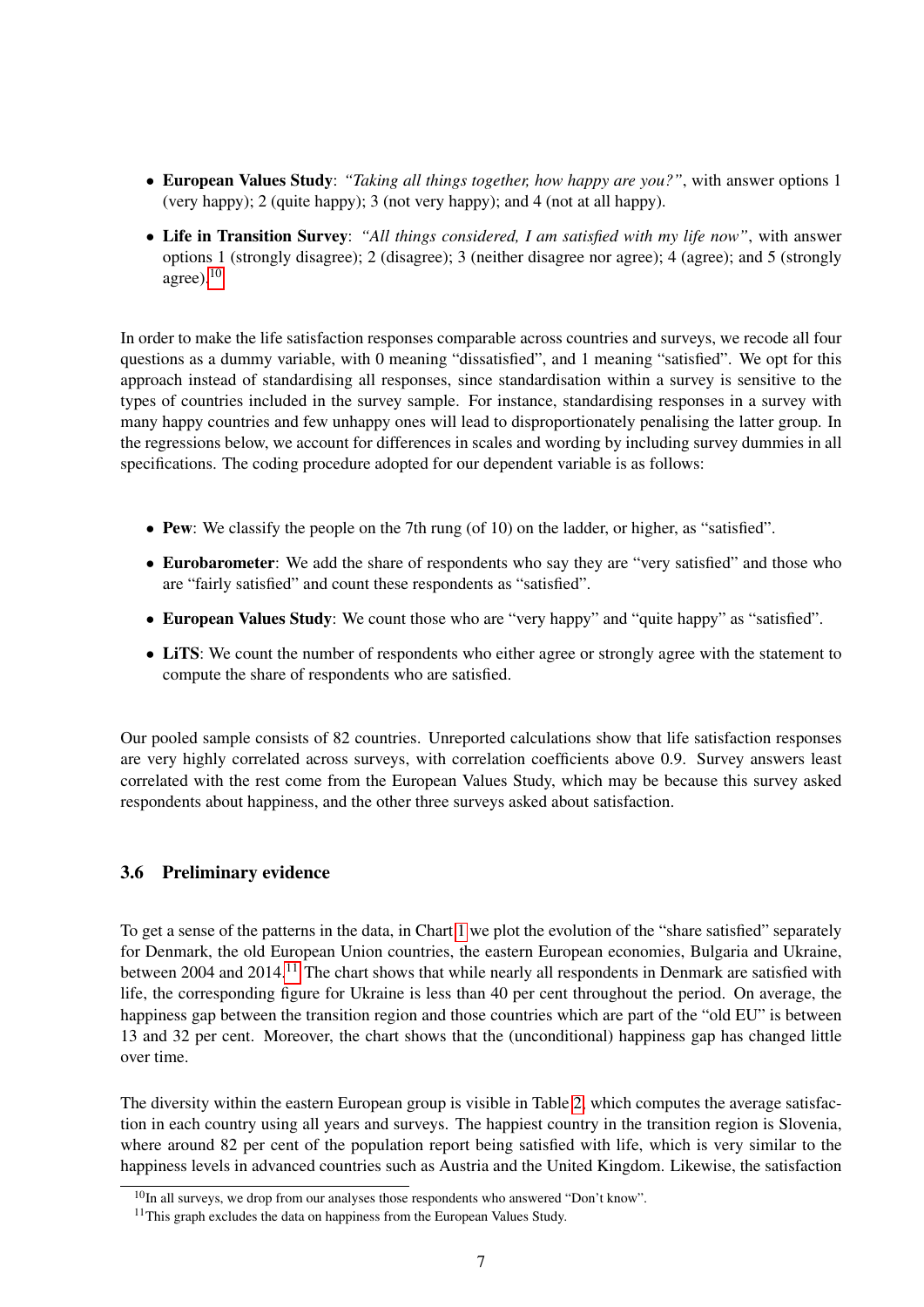- European Values Study: *"Taking all things together, how happy are you?"*, with answer options 1 (very happy); 2 (quite happy); 3 (not very happy); and 4 (not at all happy).
- Life in Transition Survey: *"All things considered, I am satisfied with my life now"*, with answer options 1 (strongly disagree); 2 (disagree); 3 (neither disagree nor agree); 4 (agree); and 5 (strongly agree). $10$

In order to make the life satisfaction responses comparable across countries and surveys, we recode all four questions as a dummy variable, with 0 meaning "dissatisfied", and 1 meaning "satisfied". We opt for this approach instead of standardising all responses, since standardisation within a survey is sensitive to the types of countries included in the survey sample. For instance, standardising responses in a survey with many happy countries and few unhappy ones will lead to disproportionately penalising the latter group. In the regressions below, we account for differences in scales and wording by including survey dummies in all specifications. The coding procedure adopted for our dependent variable is as follows:

- Pew: We classify the people on the 7th rung (of 10) on the ladder, or higher, as "satisfied".
- Eurobarometer: We add the share of respondents who say they are "very satisfied" and those who are "fairly satisfied" and count these respondents as "satisfied".
- European Values Study: We count those who are "very happy" and "quite happy" as "satisfied".
- LiTS: We count the number of respondents who either agree or strongly agree with the statement to compute the share of respondents who are satisfied.

Our pooled sample consists of 82 countries. Unreported calculations show that life satisfaction responses are very highly correlated across surveys, with correlation coefficients above 0.9. Survey answers least correlated with the rest come from the European Values Study, which may be because this survey asked respondents about happiness, and the other three surveys asked about satisfaction.

### 3.6 Preliminary evidence

To get a sense of the patterns in the data, in Chart [1](#page-20-0) we plot the evolution of the "share satisfied" separately for Denmark, the old European Union countries, the eastern European economies, Bulgaria and Ukraine, between 2004 and 2014.<sup>[11](#page-7-1)</sup> The chart shows that while nearly all respondents in Denmark are satisfied with life, the corresponding figure for Ukraine is less than 40 per cent throughout the period. On average, the happiness gap between the transition region and those countries which are part of the "old EU" is between 13 and 32 per cent. Moreover, the chart shows that the (unconditional) happiness gap has changed little over time.

The diversity within the eastern European group is visible in Table [2,](#page-24-0) which computes the average satisfaction in each country using all years and surveys. The happiest country in the transition region is Slovenia, where around 82 per cent of the population report being satisfied with life, which is very similar to the happiness levels in advanced countries such as Austria and the United Kingdom. Likewise, the satisfaction

<span id="page-7-0"></span> $10$ In all surveys, we drop from our analyses those respondents who answered "Don't know".

<span id="page-7-1"></span> $11$ This graph excludes the data on happiness from the European Values Study.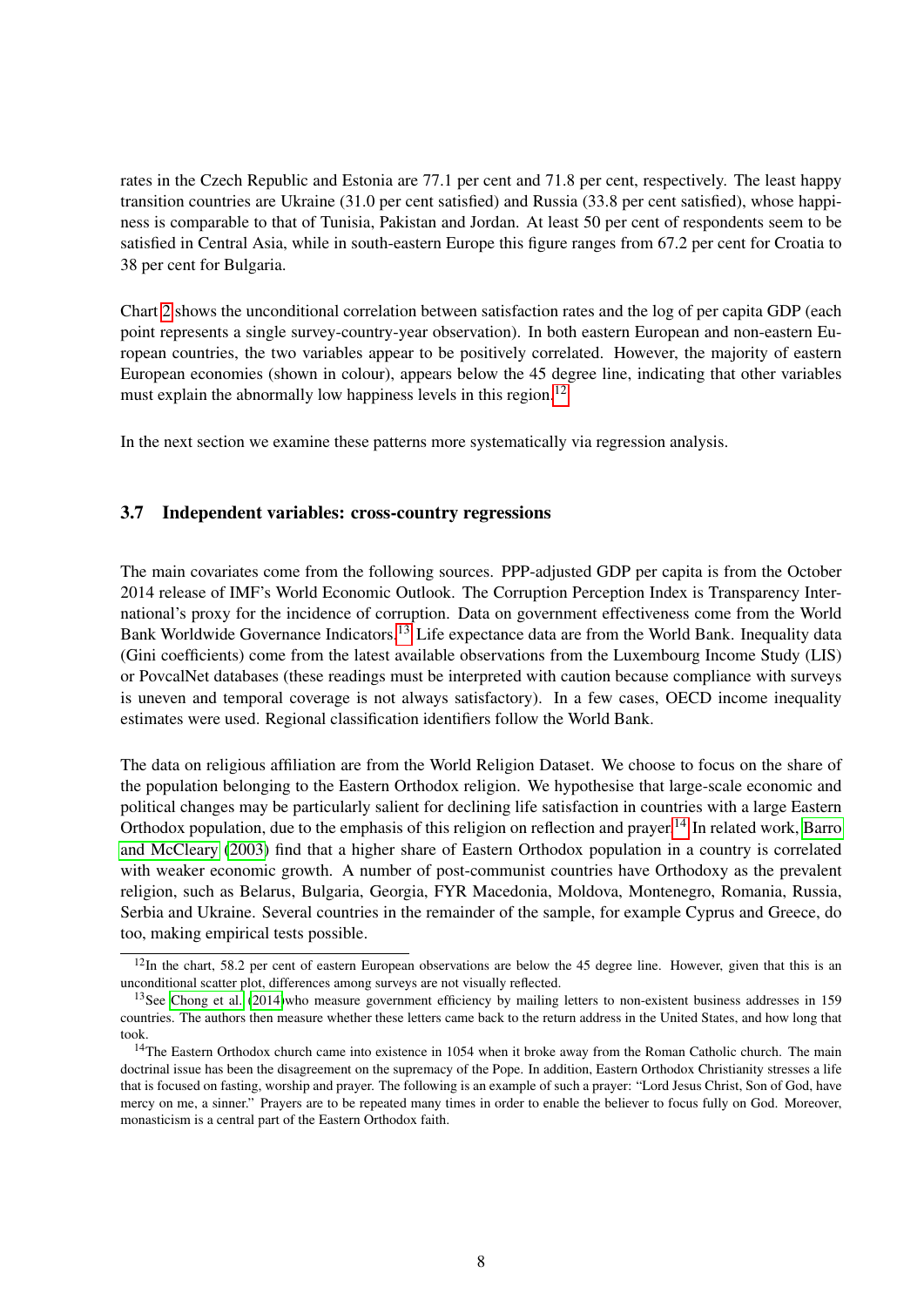rates in the Czech Republic and Estonia are 77.1 per cent and 71.8 per cent, respectively. The least happy transition countries are Ukraine (31.0 per cent satisfied) and Russia (33.8 per cent satisfied), whose happiness is comparable to that of Tunisia, Pakistan and Jordan. At least 50 per cent of respondents seem to be satisfied in Central Asia, while in south-eastern Europe this figure ranges from 67.2 per cent for Croatia to 38 per cent for Bulgaria.

Chart [2](#page-21-0) shows the unconditional correlation between satisfaction rates and the log of per capita GDP (each point represents a single survey-country-year observation). In both eastern European and non-eastern European countries, the two variables appear to be positively correlated. However, the majority of eastern European economies (shown in colour), appears below the 45 degree line, indicating that other variables must explain the abnormally low happiness levels in this region.<sup>[12](#page-8-0)</sup>

In the next section we examine these patterns more systematically via regression analysis.

#### 3.7 Independent variables: cross-country regressions

The main covariates come from the following sources. PPP-adjusted GDP per capita is from the October 2014 release of IMF's World Economic Outlook. The Corruption Perception Index is Transparency International's proxy for the incidence of corruption. Data on government effectiveness come from the World Bank Worldwide Governance Indicators.<sup>[13](#page-8-1)</sup> Life expectance data are from the World Bank. Inequality data (Gini coefficients) come from the latest available observations from the Luxembourg Income Study (LIS) or PovcalNet databases (these readings must be interpreted with caution because compliance with surveys is uneven and temporal coverage is not always satisfactory). In a few cases, OECD income inequality estimates were used. Regional classification identifiers follow the World Bank.

The data on religious affiliation are from the World Religion Dataset. We choose to focus on the share of the population belonging to the Eastern Orthodox religion. We hypothesise that large-scale economic and political changes may be particularly salient for declining life satisfaction in countries with a large Eastern Orthodox population, due to the emphasis of this religion on reflection and prayer.<sup>[14](#page-8-2)</sup> In related work, [Barro](#page-17-13) [and McCleary](#page-17-13) [\(2003\)](#page-17-13) find that a higher share of Eastern Orthodox population in a country is correlated with weaker economic growth. A number of post-communist countries have Orthodoxy as the prevalent religion, such as Belarus, Bulgaria, Georgia, FYR Macedonia, Moldova, Montenegro, Romania, Russia, Serbia and Ukraine. Several countries in the remainder of the sample, for example Cyprus and Greece, do too, making empirical tests possible.

<span id="page-8-0"></span> $12$ In the chart, 58.2 per cent of eastern European observations are below the 45 degree line. However, given that this is an unconditional scatter plot, differences among surveys are not visually reflected.

<span id="page-8-1"></span><sup>&</sup>lt;sup>13</sup>See [Chong et al.](#page-17-14) [\(2014\)](#page-17-14)who measure government efficiency by mailing letters to non-existent business addresses in 159 countries. The authors then measure whether these letters came back to the return address in the United States, and how long that took.

<span id="page-8-2"></span><sup>&</sup>lt;sup>14</sup>The Eastern Orthodox church came into existence in 1054 when it broke away from the Roman Catholic church. The main doctrinal issue has been the disagreement on the supremacy of the Pope. In addition, Eastern Orthodox Christianity stresses a life that is focused on fasting, worship and prayer. The following is an example of such a prayer: "Lord Jesus Christ, Son of God, have mercy on me, a sinner." Prayers are to be repeated many times in order to enable the believer to focus fully on God. Moreover, monasticism is a central part of the Eastern Orthodox faith.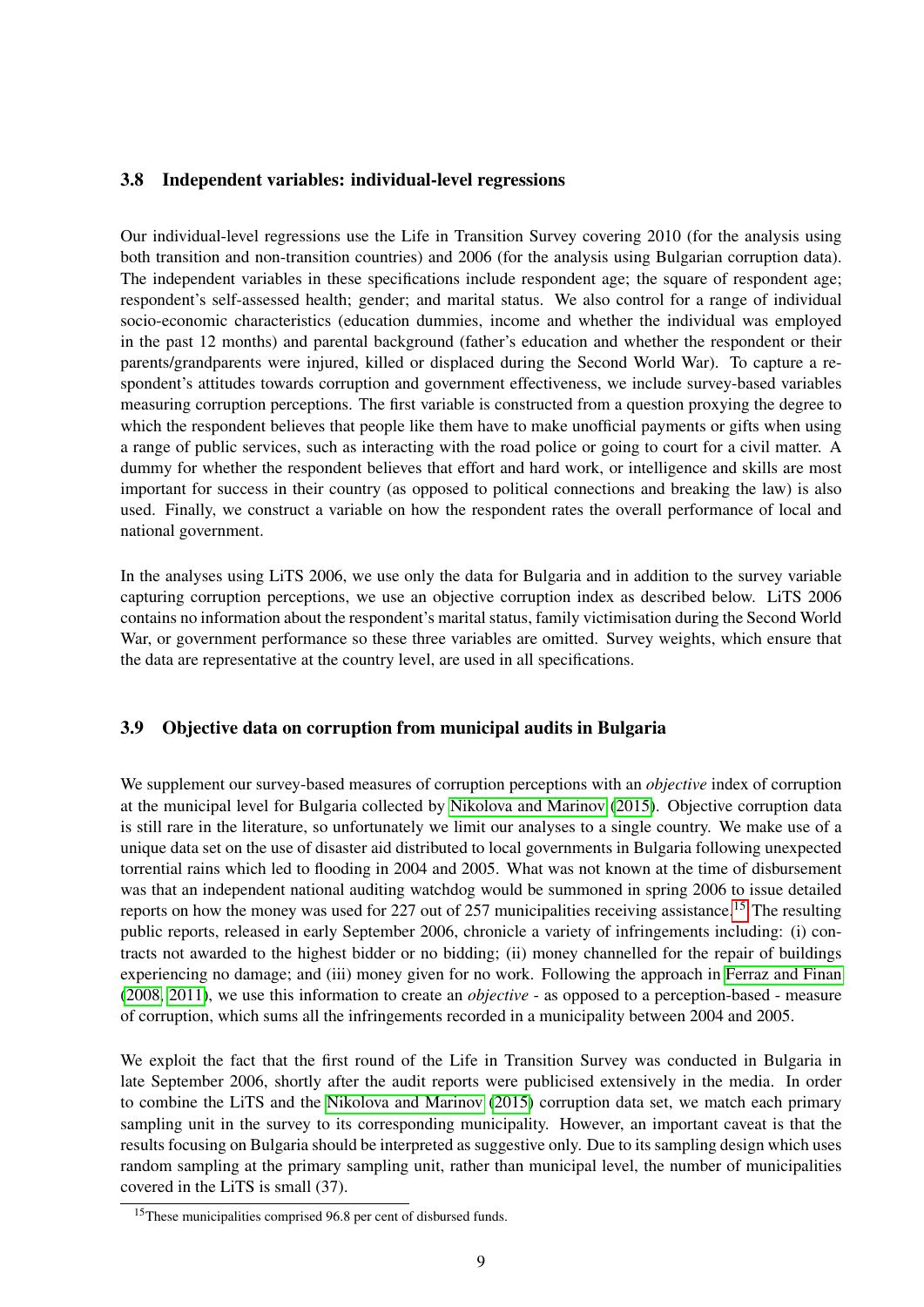### 3.8 Independent variables: individual-level regressions

Our individual-level regressions use the Life in Transition Survey covering 2010 (for the analysis using both transition and non-transition countries) and 2006 (for the analysis using Bulgarian corruption data). The independent variables in these specifications include respondent age; the square of respondent age; respondent's self-assessed health; gender; and marital status. We also control for a range of individual socio-economic characteristics (education dummies, income and whether the individual was employed in the past 12 months) and parental background (father's education and whether the respondent or their parents/grandparents were injured, killed or displaced during the Second World War). To capture a respondent's attitudes towards corruption and government effectiveness, we include survey-based variables measuring corruption perceptions. The first variable is constructed from a question proxying the degree to which the respondent believes that people like them have to make unofficial payments or gifts when using a range of public services, such as interacting with the road police or going to court for a civil matter. A dummy for whether the respondent believes that effort and hard work, or intelligence and skills are most important for success in their country (as opposed to political connections and breaking the law) is also used. Finally, we construct a variable on how the respondent rates the overall performance of local and national government.

In the analyses using LiTS 2006, we use only the data for Bulgaria and in addition to the survey variable capturing corruption perceptions, we use an objective corruption index as described below. LiTS 2006 contains no information about the respondent's marital status, family victimisation during the Second World War, or government performance so these three variables are omitted. Survey weights, which ensure that the data are representative at the country level, are used in all specifications.

### 3.9 Objective data on corruption from municipal audits in Bulgaria

We supplement our survey-based measures of corruption perceptions with an *objective* index of corruption at the municipal level for Bulgaria collected by [Nikolova and Marinov](#page-18-1) [\(2015\)](#page-18-1). Objective corruption data is still rare in the literature, so unfortunately we limit our analyses to a single country. We make use of a unique data set on the use of disaster aid distributed to local governments in Bulgaria following unexpected torrential rains which led to flooding in 2004 and 2005. What was not known at the time of disbursement was that an independent national auditing watchdog would be summoned in spring 2006 to issue detailed reports on how the money was used for 227 out of 257 municipalities receiving assistance.<sup>[15](#page-9-0)</sup> The resulting public reports, released in early September 2006, chronicle a variety of infringements including: (i) contracts not awarded to the highest bidder or no bidding; (ii) money channelled for the repair of buildings experiencing no damage; and (iii) money given for no work. Following the approach in [Ferraz and Finan](#page-17-15) [\(2008,](#page-17-15) [2011\)](#page-17-16), we use this information to create an *objective* - as opposed to a perception-based - measure of corruption, which sums all the infringements recorded in a municipality between 2004 and 2005.

We exploit the fact that the first round of the Life in Transition Survey was conducted in Bulgaria in late September 2006, shortly after the audit reports were publicised extensively in the media. In order to combine the LiTS and the [Nikolova and Marinov](#page-18-1) [\(2015\)](#page-18-1) corruption data set, we match each primary sampling unit in the survey to its corresponding municipality. However, an important caveat is that the results focusing on Bulgaria should be interpreted as suggestive only. Due to its sampling design which uses random sampling at the primary sampling unit, rather than municipal level, the number of municipalities covered in the LiTS is small (37).

<span id="page-9-0"></span><sup>&</sup>lt;sup>15</sup>These municipalities comprised 96.8 per cent of disbursed funds.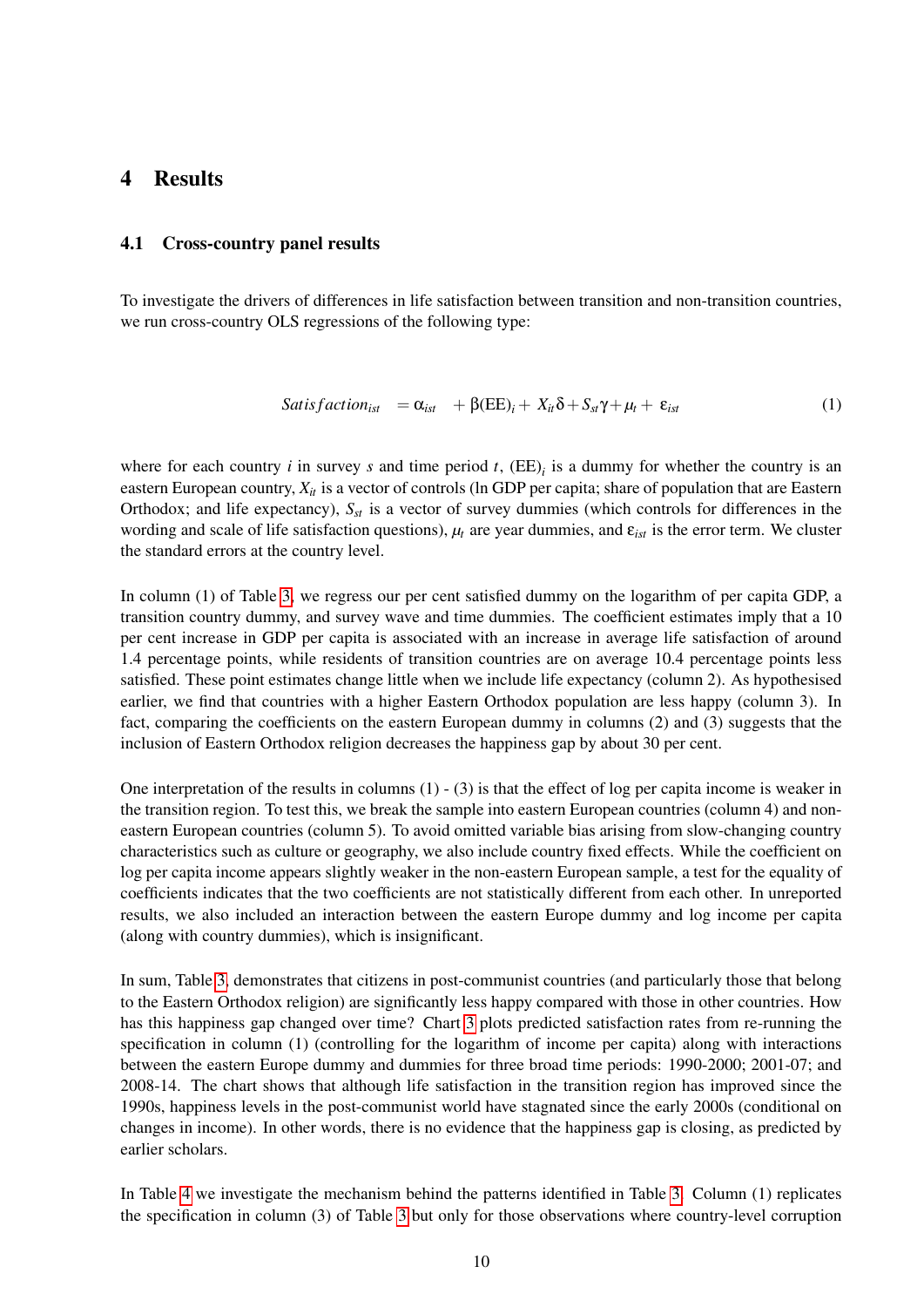### <span id="page-10-0"></span>4 Results

#### 4.1 Cross-country panel results

To investigate the drivers of differences in life satisfaction between transition and non-transition countries, we run cross-country OLS regressions of the following type:

$$
Satis factor_{ist} = \alpha_{ist} + \beta (EE)_i + X_{it}\delta + S_{st}\gamma + \mu_t + \varepsilon_{ist}
$$
 (1)

where for each country  $i$  in survey  $s$  and time period  $t$ ,  $(EE)_i$  is a dummy for whether the country is an eastern European country,  $X_{it}$  is a vector of controls (ln GDP per capita; share of population that are Eastern Orthodox; and life expectancy), *Sst* is a vector of survey dummies (which controls for differences in the wording and scale of life satisfaction questions), *µ<sup>t</sup>* are year dummies, and ε*ist* is the error term. We cluster the standard errors at the country level.

In column (1) of Table [3,](#page-25-0) we regress our per cent satisfied dummy on the logarithm of per capita GDP, a transition country dummy, and survey wave and time dummies. The coefficient estimates imply that a 10 per cent increase in GDP per capita is associated with an increase in average life satisfaction of around 1.4 percentage points, while residents of transition countries are on average 10.4 percentage points less satisfied. These point estimates change little when we include life expectancy (column 2). As hypothesised earlier, we find that countries with a higher Eastern Orthodox population are less happy (column 3). In fact, comparing the coefficients on the eastern European dummy in columns (2) and (3) suggests that the inclusion of Eastern Orthodox religion decreases the happiness gap by about 30 per cent.

One interpretation of the results in columns  $(1)$  -  $(3)$  is that the effect of log per capita income is weaker in the transition region. To test this, we break the sample into eastern European countries (column 4) and noneastern European countries (column 5). To avoid omitted variable bias arising from slow-changing country characteristics such as culture or geography, we also include country fixed effects. While the coefficient on log per capita income appears slightly weaker in the non-eastern European sample, a test for the equality of coefficients indicates that the two coefficients are not statistically different from each other. In unreported results, we also included an interaction between the eastern Europe dummy and log income per capita (along with country dummies), which is insignificant.

In sum, Table [3,](#page-25-0) demonstrates that citizens in post-communist countries (and particularly those that belong to the Eastern Orthodox religion) are significantly less happy compared with those in other countries. How has this happiness gap changed over time? Chart [3](#page-22-0) plots predicted satisfaction rates from re-running the specification in column (1) (controlling for the logarithm of income per capita) along with interactions between the eastern Europe dummy and dummies for three broad time periods: 1990-2000; 2001-07; and 2008-14. The chart shows that although life satisfaction in the transition region has improved since the 1990s, happiness levels in the post-communist world have stagnated since the early 2000s (conditional on changes in income). In other words, there is no evidence that the happiness gap is closing, as predicted by earlier scholars.

In Table [4](#page-26-0) we investigate the mechanism behind the patterns identified in Table [3.](#page-25-0) Column (1) replicates the specification in column (3) of Table [3](#page-25-0) but only for those observations where country-level corruption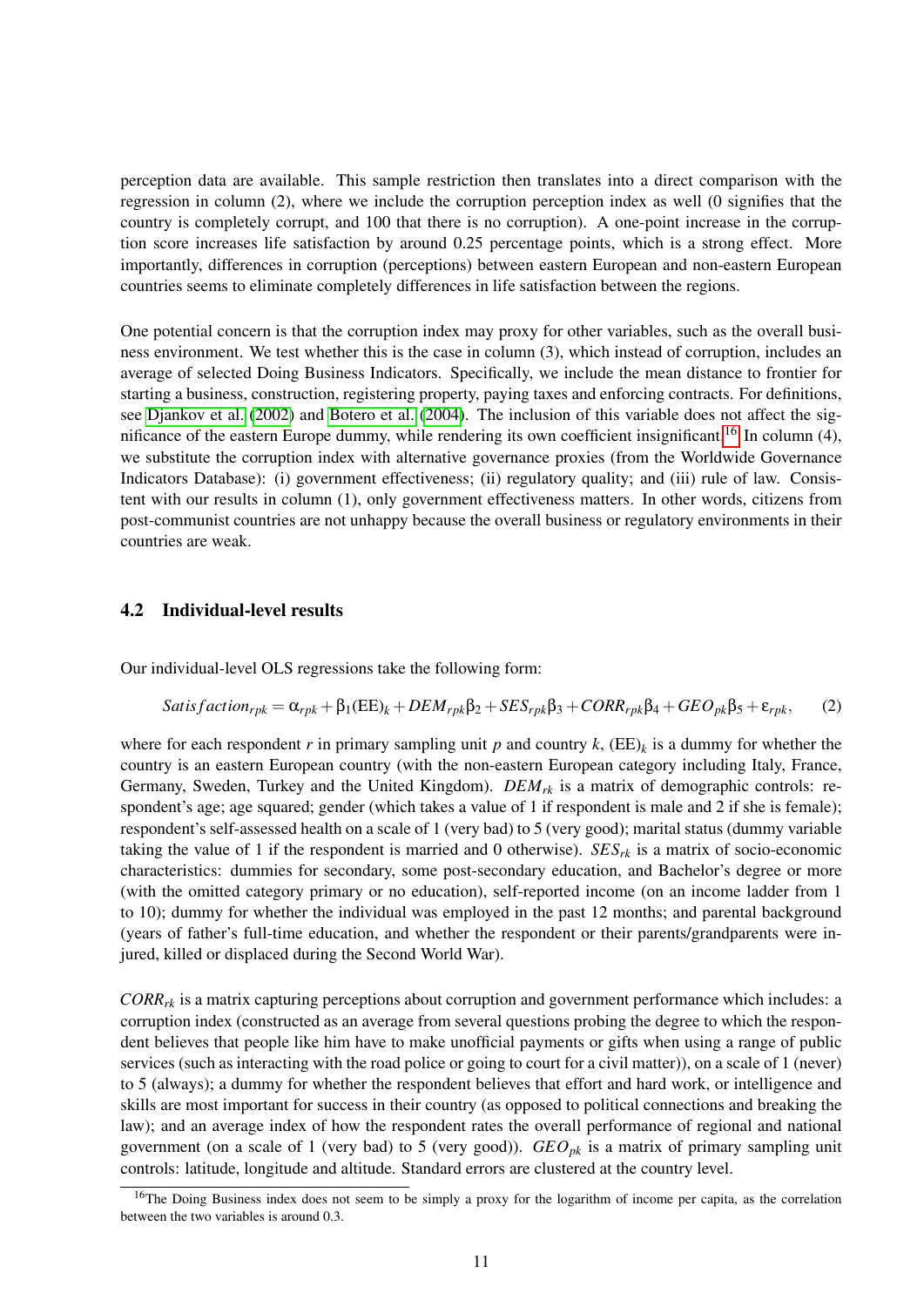perception data are available. This sample restriction then translates into a direct comparison with the regression in column (2), where we include the corruption perception index as well (0 signifies that the country is completely corrupt, and 100 that there is no corruption). A one-point increase in the corruption score increases life satisfaction by around 0.25 percentage points, which is a strong effect. More importantly, differences in corruption (perceptions) between eastern European and non-eastern European countries seems to eliminate completely differences in life satisfaction between the regions.

One potential concern is that the corruption index may proxy for other variables, such as the overall business environment. We test whether this is the case in column (3), which instead of corruption, includes an average of selected Doing Business Indicators. Specifically, we include the mean distance to frontier for starting a business, construction, registering property, paying taxes and enforcing contracts. For definitions, see [Djankov et al.](#page-17-17) [\(2002\)](#page-17-17) and [Botero et al.](#page-17-18) [\(2004\)](#page-17-18). The inclusion of this variable does not affect the sig-nificance of the eastern Europe dummy, while rendering its own coefficient insignificant.<sup>[16](#page-11-0)</sup> In column (4), we substitute the corruption index with alternative governance proxies (from the Worldwide Governance Indicators Database): (i) government effectiveness; (ii) regulatory quality; and (iii) rule of law. Consistent with our results in column (1), only government effectiveness matters. In other words, citizens from post-communist countries are not unhappy because the overall business or regulatory environments in their countries are weak.

#### 4.2 Individual-level results

Our individual-level OLS regressions take the following form:

Satis factor<sub>rpk</sub> = 
$$
\alpha_{rpk} + \beta_1 (EE)_k + DEM_{rpk}\beta_2 + SES_{rpk}\beta_3 + CORR_{rpk}\beta_4 + GEO_{pk}\beta_5 + \varepsilon_{rpk}
$$
, (2)

where for each respondent *r* in primary sampling unit *p* and country  $k$ ,  $(EE)_k$  is a dummy for whether the country is an eastern European country (with the non-eastern European category including Italy, France, Germany, Sweden, Turkey and the United Kingdom). *DEMrk* is a matrix of demographic controls: respondent's age; age squared; gender (which takes a value of 1 if respondent is male and 2 if she is female); respondent's self-assessed health on a scale of 1 (very bad) to 5 (very good); marital status (dummy variable taking the value of 1 if the respondent is married and 0 otherwise).  $SES_{rk}$  is a matrix of socio-economic characteristics: dummies for secondary, some post-secondary education, and Bachelor's degree or more (with the omitted category primary or no education), self-reported income (on an income ladder from 1 to 10); dummy for whether the individual was employed in the past 12 months; and parental background (years of father's full-time education, and whether the respondent or their parents/grandparents were injured, killed or displaced during the Second World War).

*CORRrk* is a matrix capturing perceptions about corruption and government performance which includes: a corruption index (constructed as an average from several questions probing the degree to which the respondent believes that people like him have to make unofficial payments or gifts when using a range of public services (such as interacting with the road police or going to court for a civil matter)), on a scale of 1 (never) to 5 (always); a dummy for whether the respondent believes that effort and hard work, or intelligence and skills are most important for success in their country (as opposed to political connections and breaking the law); and an average index of how the respondent rates the overall performance of regional and national government (on a scale of 1 (very bad) to 5 (very good)).  $GEO_{pk}$  is a matrix of primary sampling unit controls: latitude, longitude and altitude. Standard errors are clustered at the country level.

<span id="page-11-0"></span> $16$ The Doing Business index does not seem to be simply a proxy for the logarithm of income per capita, as the correlation between the two variables is around 0.3.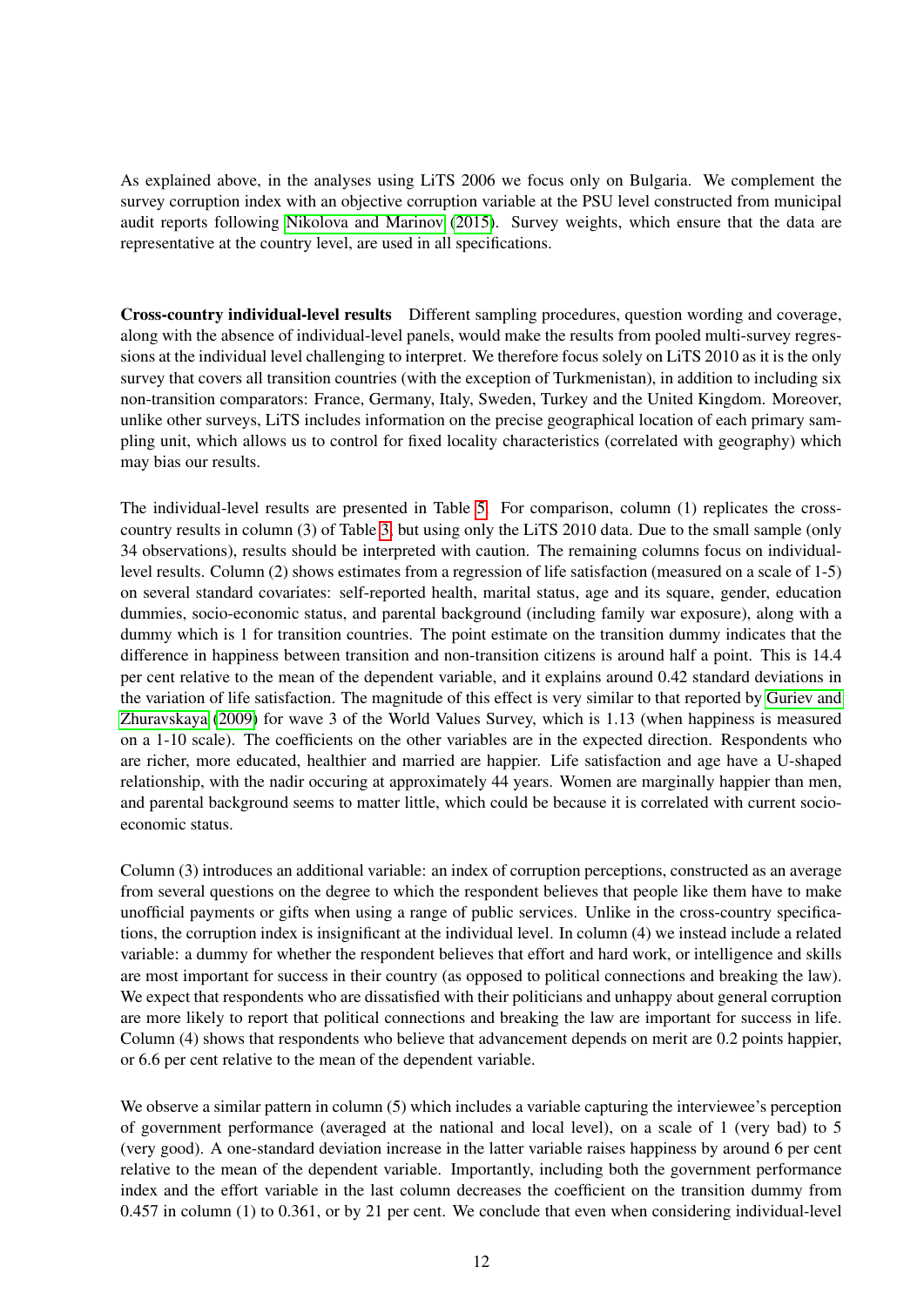As explained above, in the analyses using LiTS 2006 we focus only on Bulgaria. We complement the survey corruption index with an objective corruption variable at the PSU level constructed from municipal audit reports following [Nikolova and Marinov](#page-18-1) [\(2015\)](#page-18-1). Survey weights, which ensure that the data are representative at the country level, are used in all specifications.

Cross-country individual-level results Different sampling procedures, question wording and coverage, along with the absence of individual-level panels, would make the results from pooled multi-survey regressions at the individual level challenging to interpret. We therefore focus solely on LiTS 2010 as it is the only survey that covers all transition countries (with the exception of Turkmenistan), in addition to including six non-transition comparators: France, Germany, Italy, Sweden, Turkey and the United Kingdom. Moreover, unlike other surveys, LiTS includes information on the precise geographical location of each primary sampling unit, which allows us to control for fixed locality characteristics (correlated with geography) which may bias our results.

The individual-level results are presented in Table [5.](#page-27-0) For comparison, column (1) replicates the crosscountry results in column (3) of Table [3,](#page-25-0) but using only the LiTS 2010 data. Due to the small sample (only 34 observations), results should be interpreted with caution. The remaining columns focus on individuallevel results. Column (2) shows estimates from a regression of life satisfaction (measured on a scale of 1-5) on several standard covariates: self-reported health, marital status, age and its square, gender, education dummies, socio-economic status, and parental background (including family war exposure), along with a dummy which is 1 for transition countries. The point estimate on the transition dummy indicates that the difference in happiness between transition and non-transition citizens is around half a point. This is 14.4 per cent relative to the mean of the dependent variable, and it explains around 0.42 standard deviations in the variation of life satisfaction. The magnitude of this effect is very similar to that reported by [Guriev and](#page-18-0) [Zhuravskaya](#page-18-0) [\(2009\)](#page-18-0) for wave 3 of the World Values Survey, which is 1.13 (when happiness is measured on a 1-10 scale). The coefficients on the other variables are in the expected direction. Respondents who are richer, more educated, healthier and married are happier. Life satisfaction and age have a U-shaped relationship, with the nadir occuring at approximately 44 years. Women are marginally happier than men, and parental background seems to matter little, which could be because it is correlated with current socioeconomic status.

Column (3) introduces an additional variable: an index of corruption perceptions, constructed as an average from several questions on the degree to which the respondent believes that people like them have to make unofficial payments or gifts when using a range of public services. Unlike in the cross-country specifications, the corruption index is insignificant at the individual level. In column (4) we instead include a related variable: a dummy for whether the respondent believes that effort and hard work, or intelligence and skills are most important for success in their country (as opposed to political connections and breaking the law). We expect that respondents who are dissatisfied with their politicians and unhappy about general corruption are more likely to report that political connections and breaking the law are important for success in life. Column (4) shows that respondents who believe that advancement depends on merit are 0.2 points happier, or 6.6 per cent relative to the mean of the dependent variable.

We observe a similar pattern in column (5) which includes a variable capturing the interviewee's perception of government performance (averaged at the national and local level), on a scale of 1 (very bad) to 5 (very good). A one-standard deviation increase in the latter variable raises happiness by around 6 per cent relative to the mean of the dependent variable. Importantly, including both the government performance index and the effort variable in the last column decreases the coefficient on the transition dummy from 0.457 in column (1) to 0.361, or by 21 per cent. We conclude that even when considering individual-level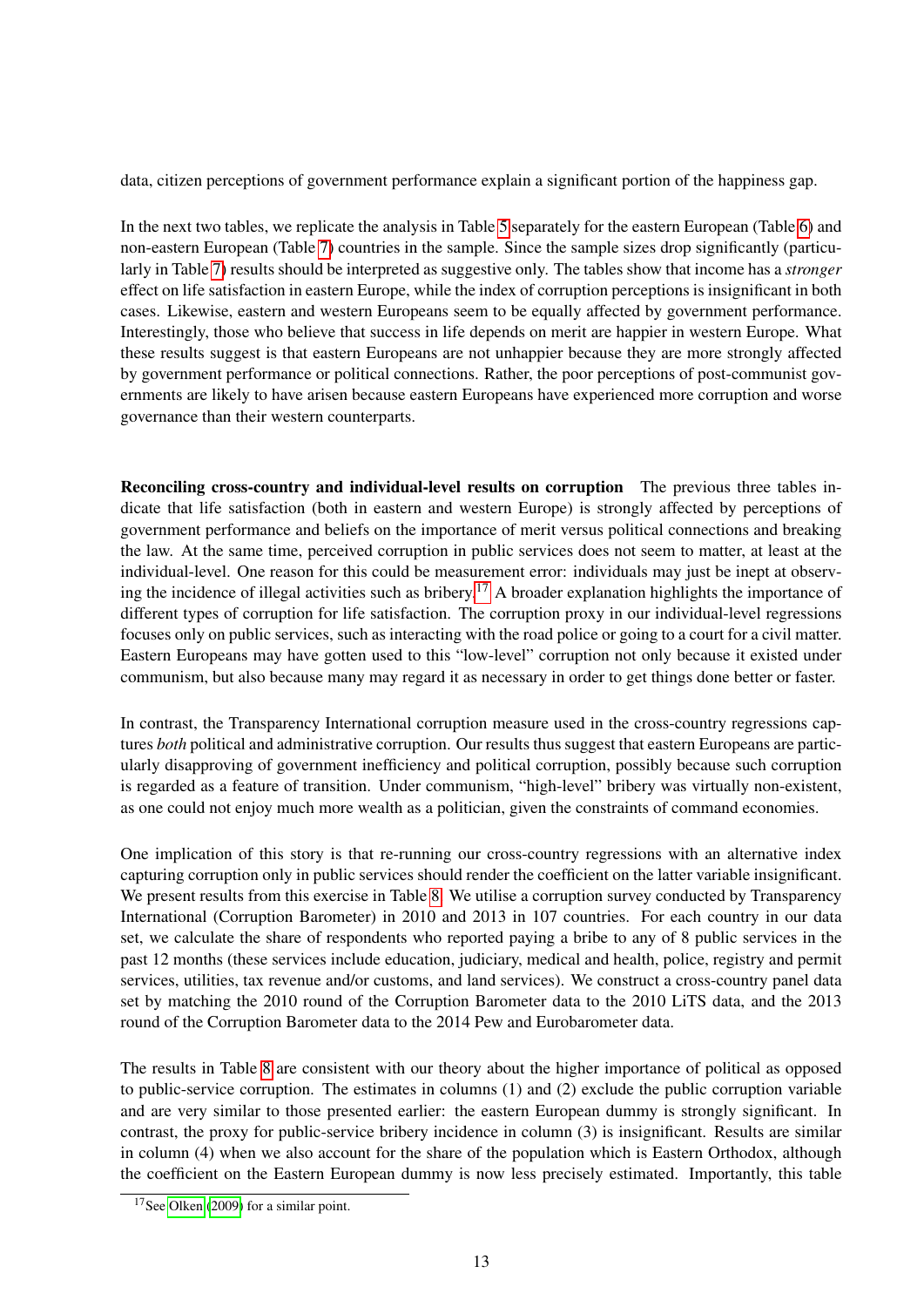data, citizen perceptions of government performance explain a significant portion of the happiness gap.

In the next two tables, we replicate the analysis in Table [5](#page-27-0) separately for the eastern European (Table [6\)](#page-28-0) and non-eastern European (Table [7\)](#page-29-0) countries in the sample. Since the sample sizes drop significantly (particularly in Table [7\)](#page-29-0) results should be interpreted as suggestive only. The tables show that income has a *stronger* effect on life satisfaction in eastern Europe, while the index of corruption perceptions is insignificant in both cases. Likewise, eastern and western Europeans seem to be equally affected by government performance. Interestingly, those who believe that success in life depends on merit are happier in western Europe. What these results suggest is that eastern Europeans are not unhappier because they are more strongly affected by government performance or political connections. Rather, the poor perceptions of post-communist governments are likely to have arisen because eastern Europeans have experienced more corruption and worse governance than their western counterparts.

Reconciling cross-country and individual-level results on corruption The previous three tables indicate that life satisfaction (both in eastern and western Europe) is strongly affected by perceptions of government performance and beliefs on the importance of merit versus political connections and breaking the law. At the same time, perceived corruption in public services does not seem to matter, at least at the individual-level. One reason for this could be measurement error: individuals may just be inept at observ-ing the incidence of illegal activities such as bribery.<sup>[17](#page-13-0)</sup> A broader explanation highlights the importance of different types of corruption for life satisfaction. The corruption proxy in our individual-level regressions focuses only on public services, such as interacting with the road police or going to a court for a civil matter. Eastern Europeans may have gotten used to this "low-level" corruption not only because it existed under communism, but also because many may regard it as necessary in order to get things done better or faster.

In contrast, the Transparency International corruption measure used in the cross-country regressions captures *both* political and administrative corruption. Our results thus suggest that eastern Europeans are particularly disapproving of government inefficiency and political corruption, possibly because such corruption is regarded as a feature of transition. Under communism, "high-level" bribery was virtually non-existent, as one could not enjoy much more wealth as a politician, given the constraints of command economies.

One implication of this story is that re-running our cross-country regressions with an alternative index capturing corruption only in public services should render the coefficient on the latter variable insignificant. We present results from this exercise in Table [8.](#page-30-0) We utilise a corruption survey conducted by Transparency International (Corruption Barometer) in 2010 and 2013 in 107 countries. For each country in our data set, we calculate the share of respondents who reported paying a bribe to any of 8 public services in the past 12 months (these services include education, judiciary, medical and health, police, registry and permit services, utilities, tax revenue and/or customs, and land services). We construct a cross-country panel data set by matching the 2010 round of the Corruption Barometer data to the 2010 LiTS data, and the 2013 round of the Corruption Barometer data to the 2014 Pew and Eurobarometer data.

The results in Table [8](#page-30-0) are consistent with our theory about the higher importance of political as opposed to public-service corruption. The estimates in columns (1) and (2) exclude the public corruption variable and are very similar to those presented earlier: the eastern European dummy is strongly significant. In contrast, the proxy for public-service bribery incidence in column (3) is insignificant. Results are similar in column (4) when we also account for the share of the population which is Eastern Orthodox, although the coefficient on the Eastern European dummy is now less precisely estimated. Importantly, this table

<span id="page-13-0"></span> $17$ See [Olken](#page-18-19) [\(2009\)](#page-18-19) for a similar point.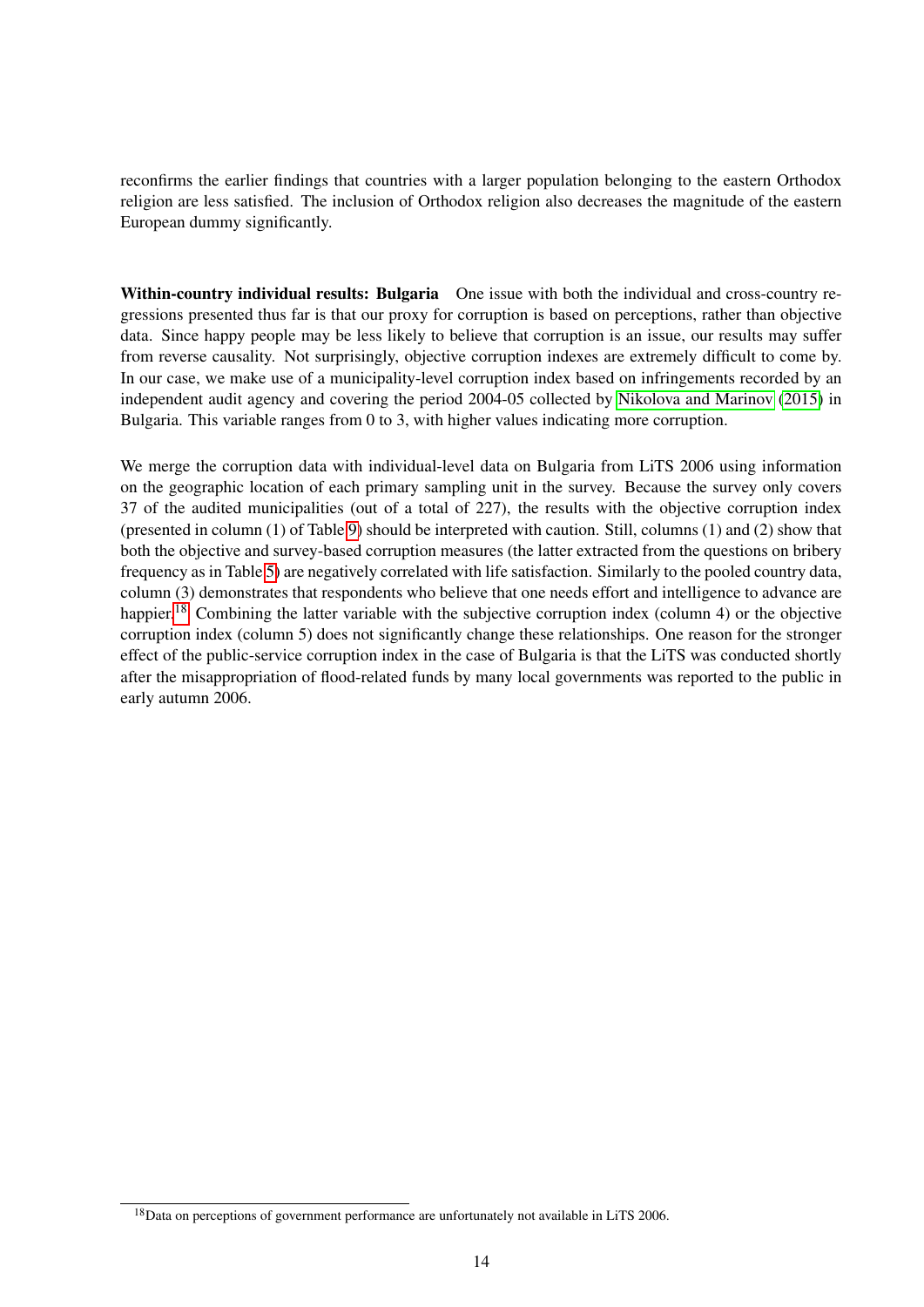reconfirms the earlier findings that countries with a larger population belonging to the eastern Orthodox religion are less satisfied. The inclusion of Orthodox religion also decreases the magnitude of the eastern European dummy significantly.

Within-country individual results: Bulgaria One issue with both the individual and cross-country regressions presented thus far is that our proxy for corruption is based on perceptions, rather than objective data. Since happy people may be less likely to believe that corruption is an issue, our results may suffer from reverse causality. Not surprisingly, objective corruption indexes are extremely difficult to come by. In our case, we make use of a municipality-level corruption index based on infringements recorded by an independent audit agency and covering the period 2004-05 collected by [Nikolova and Marinov](#page-18-1) [\(2015\)](#page-18-1) in Bulgaria. This variable ranges from 0 to 3, with higher values indicating more corruption.

We merge the corruption data with individual-level data on Bulgaria from LiTS 2006 using information on the geographic location of each primary sampling unit in the survey. Because the survey only covers 37 of the audited municipalities (out of a total of 227), the results with the objective corruption index (presented in column (1) of Table [9\)](#page-31-0) should be interpreted with caution. Still, columns (1) and (2) show that both the objective and survey-based corruption measures (the latter extracted from the questions on bribery frequency as in Table [5\)](#page-27-0) are negatively correlated with life satisfaction. Similarly to the pooled country data, column (3) demonstrates that respondents who believe that one needs effort and intelligence to advance are happier.<sup>[18](#page-14-0)</sup> Combining the latter variable with the subjective corruption index (column 4) or the objective corruption index (column 5) does not significantly change these relationships. One reason for the stronger effect of the public-service corruption index in the case of Bulgaria is that the LiTS was conducted shortly after the misappropriation of flood-related funds by many local governments was reported to the public in early autumn 2006.

<span id="page-14-0"></span> $18$ Data on perceptions of government performance are unfortunately not available in LiTS 2006.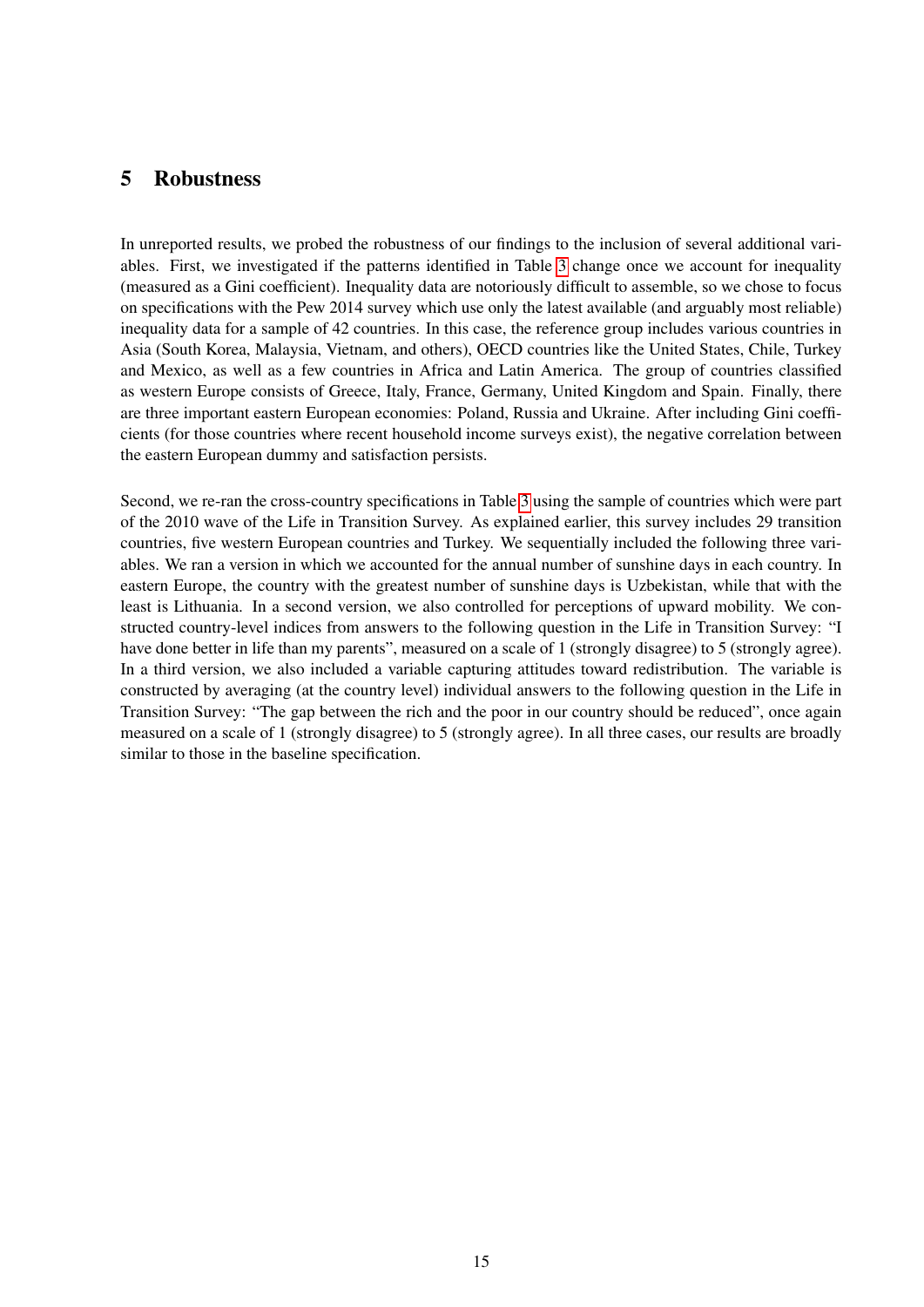### <span id="page-15-0"></span>5 Robustness

In unreported results, we probed the robustness of our findings to the inclusion of several additional variables. First, we investigated if the patterns identified in Table [3](#page-25-0) change once we account for inequality (measured as a Gini coefficient). Inequality data are notoriously difficult to assemble, so we chose to focus on specifications with the Pew 2014 survey which use only the latest available (and arguably most reliable) inequality data for a sample of 42 countries. In this case, the reference group includes various countries in Asia (South Korea, Malaysia, Vietnam, and others), OECD countries like the United States, Chile, Turkey and Mexico, as well as a few countries in Africa and Latin America. The group of countries classified as western Europe consists of Greece, Italy, France, Germany, United Kingdom and Spain. Finally, there are three important eastern European economies: Poland, Russia and Ukraine. After including Gini coefficients (for those countries where recent household income surveys exist), the negative correlation between the eastern European dummy and satisfaction persists.

Second, we re-ran the cross-country specifications in Table [3](#page-25-0) using the sample of countries which were part of the 2010 wave of the Life in Transition Survey. As explained earlier, this survey includes 29 transition countries, five western European countries and Turkey. We sequentially included the following three variables. We ran a version in which we accounted for the annual number of sunshine days in each country. In eastern Europe, the country with the greatest number of sunshine days is Uzbekistan, while that with the least is Lithuania. In a second version, we also controlled for perceptions of upward mobility. We constructed country-level indices from answers to the following question in the Life in Transition Survey: "I have done better in life than my parents", measured on a scale of 1 (strongly disagree) to 5 (strongly agree). In a third version, we also included a variable capturing attitudes toward redistribution. The variable is constructed by averaging (at the country level) individual answers to the following question in the Life in Transition Survey: "The gap between the rich and the poor in our country should be reduced", once again measured on a scale of 1 (strongly disagree) to 5 (strongly agree). In all three cases, our results are broadly similar to those in the baseline specification.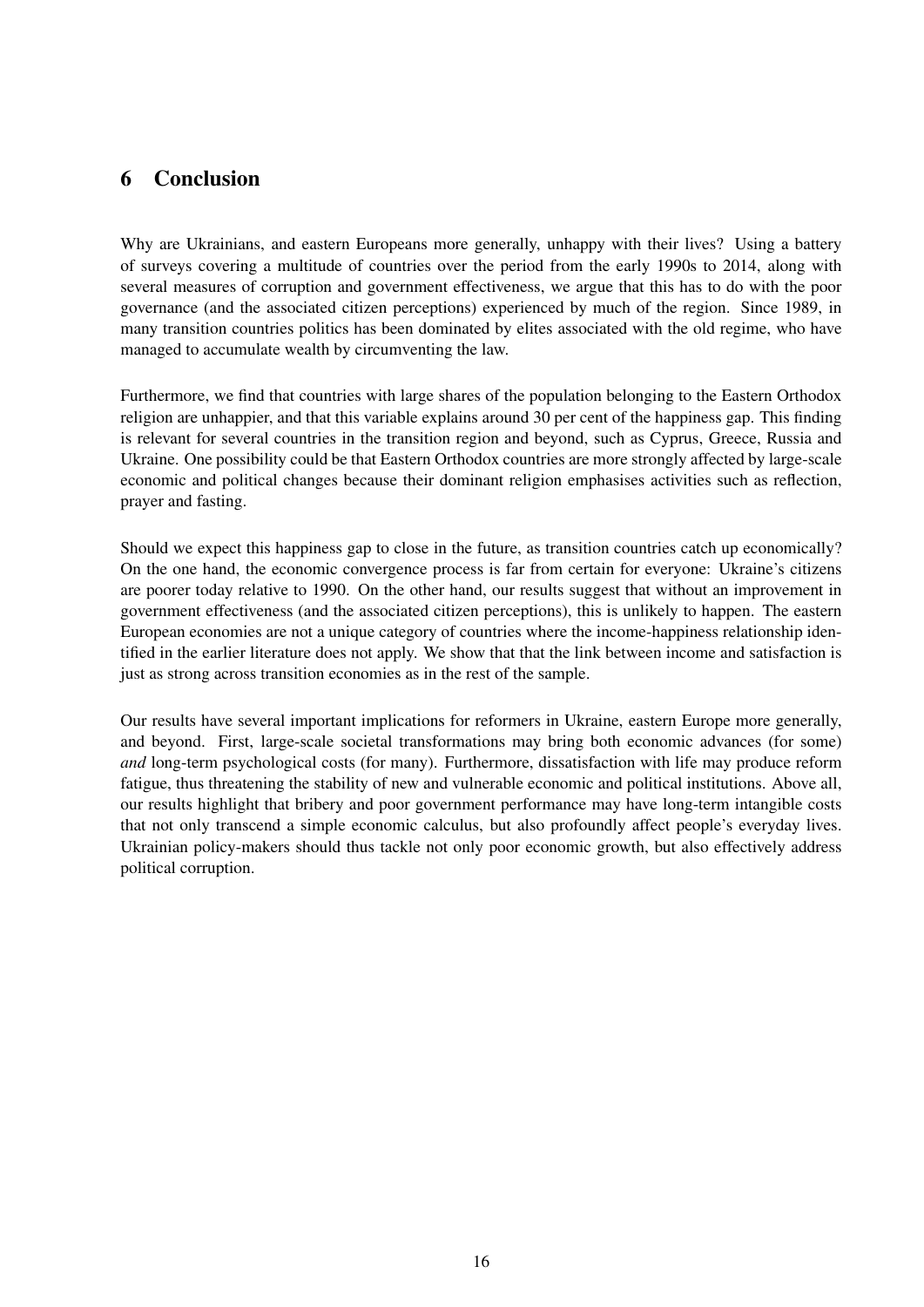# <span id="page-16-0"></span>6 Conclusion

Why are Ukrainians, and eastern Europeans more generally, unhappy with their lives? Using a battery of surveys covering a multitude of countries over the period from the early 1990s to 2014, along with several measures of corruption and government effectiveness, we argue that this has to do with the poor governance (and the associated citizen perceptions) experienced by much of the region. Since 1989, in many transition countries politics has been dominated by elites associated with the old regime, who have managed to accumulate wealth by circumventing the law.

Furthermore, we find that countries with large shares of the population belonging to the Eastern Orthodox religion are unhappier, and that this variable explains around 30 per cent of the happiness gap. This finding is relevant for several countries in the transition region and beyond, such as Cyprus, Greece, Russia and Ukraine. One possibility could be that Eastern Orthodox countries are more strongly affected by large-scale economic and political changes because their dominant religion emphasises activities such as reflection, prayer and fasting.

Should we expect this happiness gap to close in the future, as transition countries catch up economically? On the one hand, the economic convergence process is far from certain for everyone: Ukraine's citizens are poorer today relative to 1990. On the other hand, our results suggest that without an improvement in government effectiveness (and the associated citizen perceptions), this is unlikely to happen. The eastern European economies are not a unique category of countries where the income-happiness relationship identified in the earlier literature does not apply. We show that that the link between income and satisfaction is just as strong across transition economies as in the rest of the sample.

Our results have several important implications for reformers in Ukraine, eastern Europe more generally, and beyond. First, large-scale societal transformations may bring both economic advances (for some) *and* long-term psychological costs (for many). Furthermore, dissatisfaction with life may produce reform fatigue, thus threatening the stability of new and vulnerable economic and political institutions. Above all, our results highlight that bribery and poor government performance may have long-term intangible costs that not only transcend a simple economic calculus, but also profoundly affect people's everyday lives. Ukrainian policy-makers should thus tackle not only poor economic growth, but also effectively address political corruption.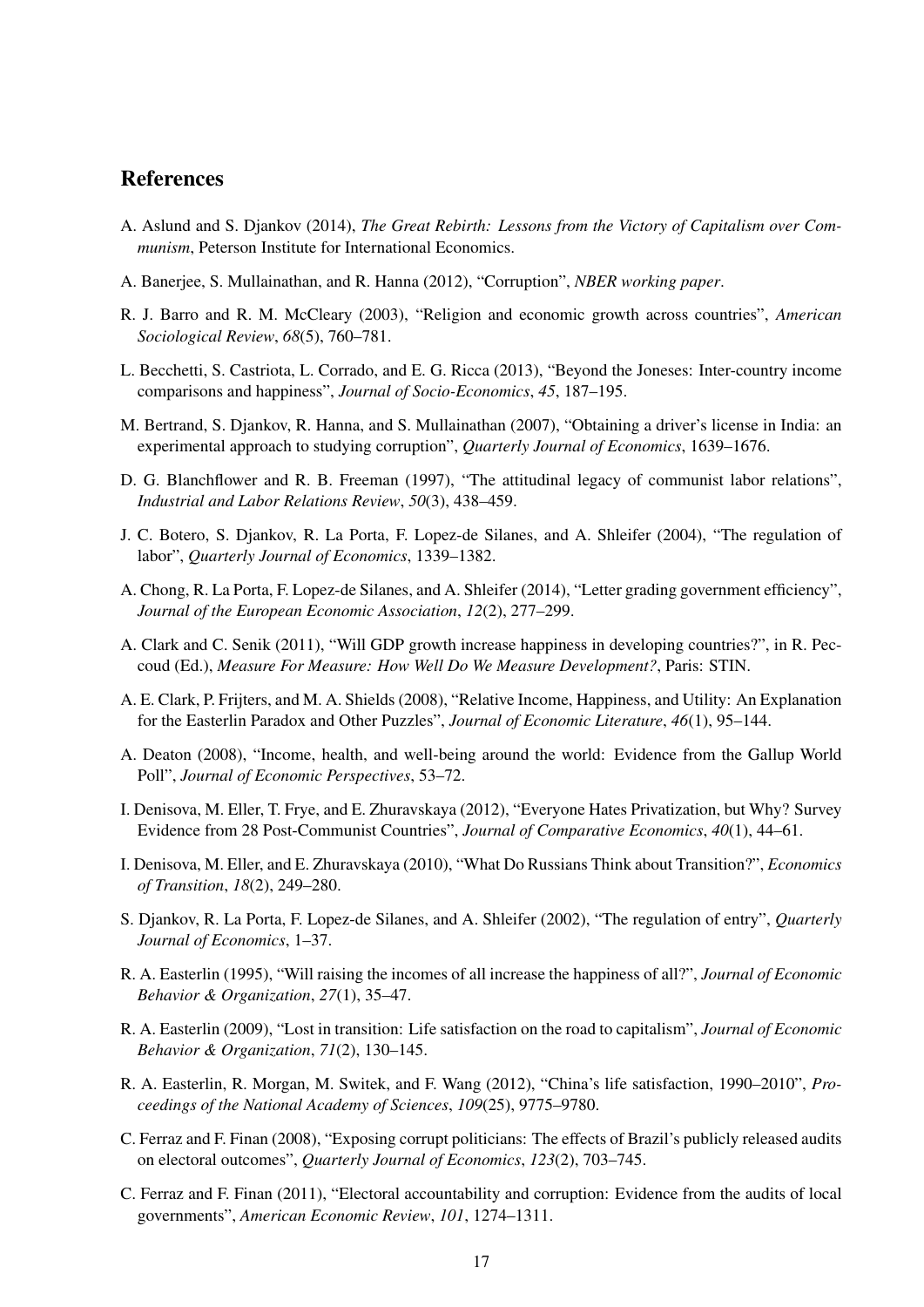### References

- <span id="page-17-0"></span>A. Aslund and S. Djankov (2014), *The Great Rebirth: Lessons from the Victory of Capitalism over Communism*, Peterson Institute for International Economics.
- <span id="page-17-10"></span>A. Banerjee, S. Mullainathan, and R. Hanna (2012), "Corruption", *NBER working paper*.
- <span id="page-17-13"></span>R. J. Barro and R. M. McCleary (2003), "Religion and economic growth across countries", *American Sociological Review*, *68*(5), 760–781.
- <span id="page-17-7"></span>L. Becchetti, S. Castriota, L. Corrado, and E. G. Ricca (2013), "Beyond the Joneses: Inter-country income comparisons and happiness", *Journal of Socio-Economics*, *45*, 187–195.
- <span id="page-17-6"></span>M. Bertrand, S. Djankov, R. Hanna, and S. Mullainathan (2007), "Obtaining a driver's license in India: an experimental approach to studying corruption", *Quarterly Journal of Economics*, 1639–1676.
- <span id="page-17-12"></span>D. G. Blanchflower and R. B. Freeman (1997), "The attitudinal legacy of communist labor relations", *Industrial and Labor Relations Review*, *50*(3), 438–459.
- <span id="page-17-18"></span>J. C. Botero, S. Djankov, R. La Porta, F. Lopez-de Silanes, and A. Shleifer (2004), "The regulation of labor", *Quarterly Journal of Economics*, 1339–1382.
- <span id="page-17-14"></span>A. Chong, R. La Porta, F. Lopez-de Silanes, and A. Shleifer (2014), "Letter grading government efficiency", *Journal of the European Economic Association*, *12*(2), 277–299.
- <span id="page-17-11"></span>A. Clark and C. Senik (2011), "Will GDP growth increase happiness in developing countries?", in R. Peccoud (Ed.), *Measure For Measure: How Well Do We Measure Development?*, Paris: STIN.
- <span id="page-17-1"></span>A. E. Clark, P. Frijters, and M. A. Shields (2008), "Relative Income, Happiness, and Utility: An Explanation for the Easterlin Paradox and Other Puzzles", *Journal of Economic Literature*, *46*(1), 95–144.
- <span id="page-17-2"></span>A. Deaton (2008), "Income, health, and well-being around the world: Evidence from the Gallup World Poll", *Journal of Economic Perspectives*, 53–72.
- <span id="page-17-9"></span>I. Denisova, M. Eller, T. Frye, and E. Zhuravskaya (2012), "Everyone Hates Privatization, but Why? Survey Evidence from 28 Post-Communist Countries", *Journal of Comparative Economics*, *40*(1), 44–61.
- <span id="page-17-8"></span>I. Denisova, M. Eller, and E. Zhuravskaya (2010), "What Do Russians Think about Transition?", *Economics of Transition*, *18*(2), 249–280.
- <span id="page-17-17"></span>S. Djankov, R. La Porta, F. Lopez-de Silanes, and A. Shleifer (2002), "The regulation of entry", *Quarterly Journal of Economics*, 1–37.
- <span id="page-17-3"></span>R. A. Easterlin (1995), "Will raising the incomes of all increase the happiness of all?", *Journal of Economic Behavior & Organization*, *27*(1), 35–47.
- <span id="page-17-4"></span>R. A. Easterlin (2009), "Lost in transition: Life satisfaction on the road to capitalism", *Journal of Economic Behavior & Organization*, *71*(2), 130–145.
- <span id="page-17-5"></span>R. A. Easterlin, R. Morgan, M. Switek, and F. Wang (2012), "China's life satisfaction, 1990–2010", *Proceedings of the National Academy of Sciences*, *109*(25), 9775–9780.
- <span id="page-17-15"></span>C. Ferraz and F. Finan (2008), "Exposing corrupt politicians: The effects of Brazil's publicly released audits on electoral outcomes", *Quarterly Journal of Economics*, *123*(2), 703–745.
- <span id="page-17-16"></span>C. Ferraz and F. Finan (2011), "Electoral accountability and corruption: Evidence from the audits of local governments", *American Economic Review*, *101*, 1274–1311.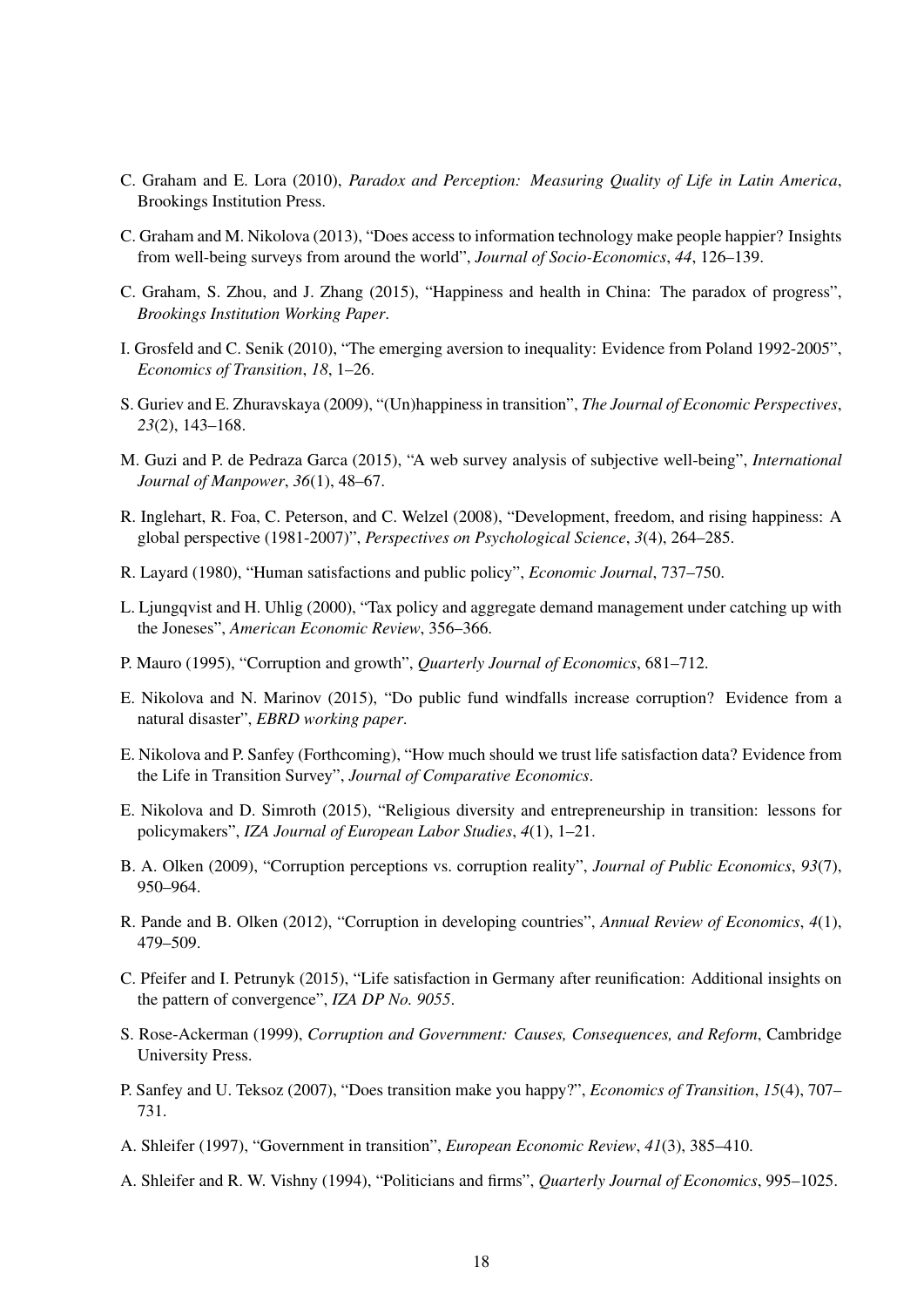- <span id="page-18-5"></span>C. Graham and E. Lora (2010), *Paradox and Perception: Measuring Quality of Life in Latin America*, Brookings Institution Press.
- <span id="page-18-6"></span>C. Graham and M. Nikolova (2013), "Does access to information technology make people happier? Insights from well-being surveys from around the world", *Journal of Socio-Economics*, *44*, 126–139.
- <span id="page-18-4"></span>C. Graham, S. Zhou, and J. Zhang (2015), "Happiness and health in China: The paradox of progress", *Brookings Institution Working Paper*.
- <span id="page-18-16"></span>I. Grosfeld and C. Senik (2010), "The emerging aversion to inequality: Evidence from Poland 1992-2005", *Economics of Transition*, *18*, 1–26.
- <span id="page-18-0"></span>S. Guriev and E. Zhuravskaya (2009), "(Un)happiness in transition", *The Journal of Economic Perspectives*, *23*(2), 143–168.
- <span id="page-18-15"></span>M. Guzi and P. de Pedraza Garca (2015), "A web survey analysis of subjective well-being", *International Journal of Manpower*, *36*(1), 48–67.
- <span id="page-18-14"></span>R. Inglehart, R. Foa, C. Peterson, and C. Welzel (2008), "Development, freedom, and rising happiness: A global perspective (1981-2007)", *Perspectives on Psychological Science*, *3*(4), 264–285.
- <span id="page-18-13"></span>R. Layard (1980), "Human satisfactions and public policy", *Economic Journal*, 737–750.
- <span id="page-18-11"></span>L. Ljungqvist and H. Uhlig (2000), "Tax policy and aggregate demand management under catching up with the Joneses", *American Economic Review*, 356–366.
- <span id="page-18-7"></span>P. Mauro (1995), "Corruption and growth", *Quarterly Journal of Economics*, 681–712.
- <span id="page-18-1"></span>E. Nikolova and N. Marinov (2015), "Do public fund windfalls increase corruption? Evidence from a natural disaster", *EBRD working paper*.
- <span id="page-18-12"></span>E. Nikolova and P. Sanfey (Forthcoming), "How much should we trust life satisfaction data? Evidence from the Life in Transition Survey", *Journal of Comparative Economics*.
- <span id="page-18-18"></span>E. Nikolova and D. Simroth (2015), "Religious diversity and entrepreneurship in transition: lessons for policymakers", *IZA Journal of European Labor Studies*, *4*(1), 1–21.
- <span id="page-18-19"></span>B. A. Olken (2009), "Corruption perceptions vs. corruption reality", *Journal of Public Economics*, *93*(7), 950–964.
- <span id="page-18-8"></span>R. Pande and B. Olken (2012), "Corruption in developing countries", *Annual Review of Economics*, *4*(1), 479–509.
- <span id="page-18-17"></span>C. Pfeifer and I. Petrunyk (2015), "Life satisfaction in Germany after reunification: Additional insights on the pattern of convergence", *IZA DP No. 9055*.
- <span id="page-18-9"></span>S. Rose-Ackerman (1999), *Corruption and Government: Causes, Consequences, and Reform*, Cambridge University Press.
- <span id="page-18-3"></span>P. Sanfey and U. Teksoz (2007), "Does transition make you happy?", *Economics of Transition*, *15*(4), 707– 731.
- <span id="page-18-2"></span>A. Shleifer (1997), "Government in transition", *European Economic Review*, *41*(3), 385–410.
- <span id="page-18-10"></span>A. Shleifer and R. W. Vishny (1994), "Politicians and firms", *Quarterly Journal of Economics*, 995–1025.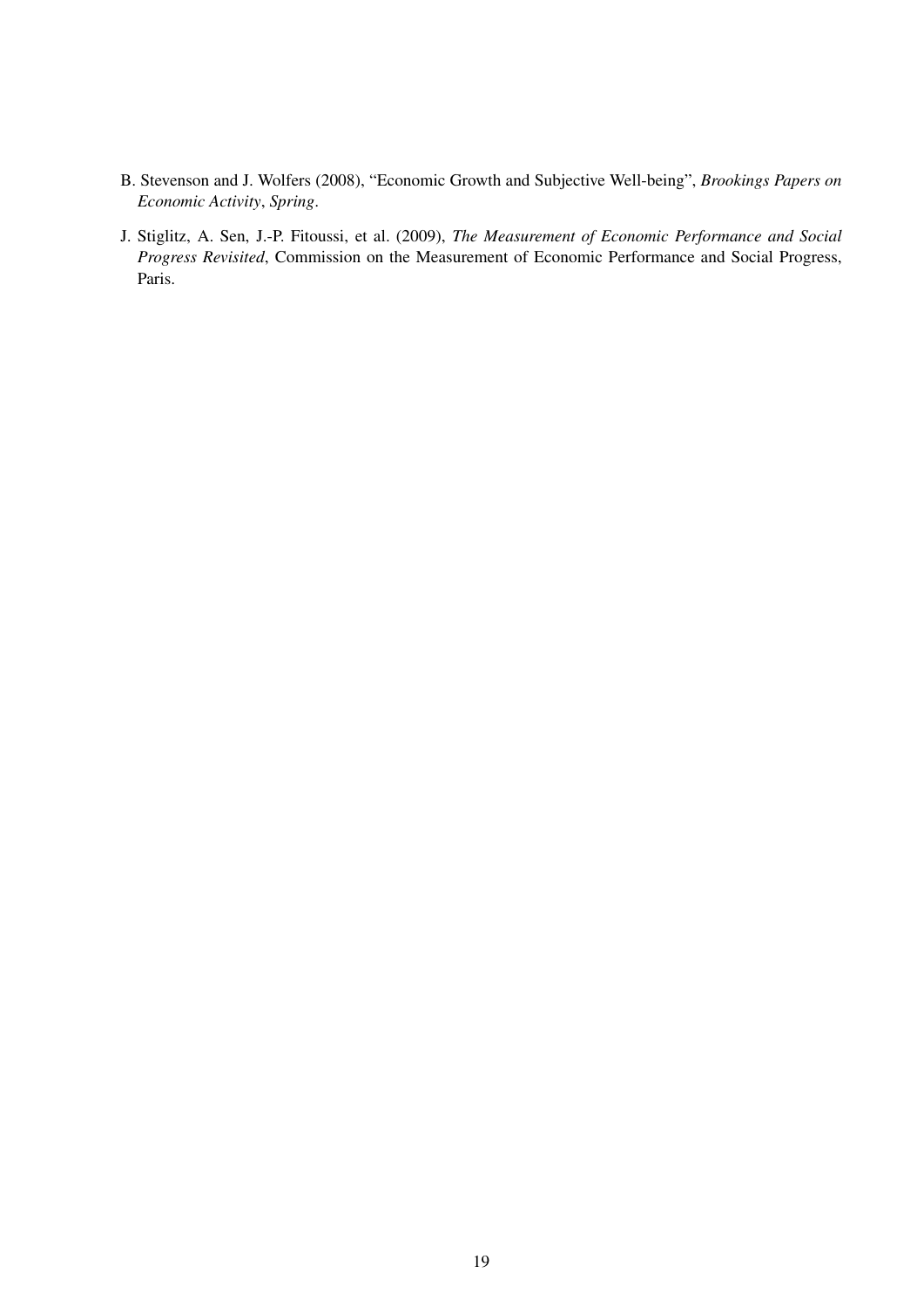- <span id="page-19-0"></span>B. Stevenson and J. Wolfers (2008), "Economic Growth and Subjective Well-being", *Brookings Papers on Economic Activity*, *Spring*.
- <span id="page-19-1"></span>J. Stiglitz, A. Sen, J.-P. Fitoussi, et al. (2009), *The Measurement of Economic Performance and Social Progress Revisited*, Commission on the Measurement of Economic Performance and Social Progress, Paris.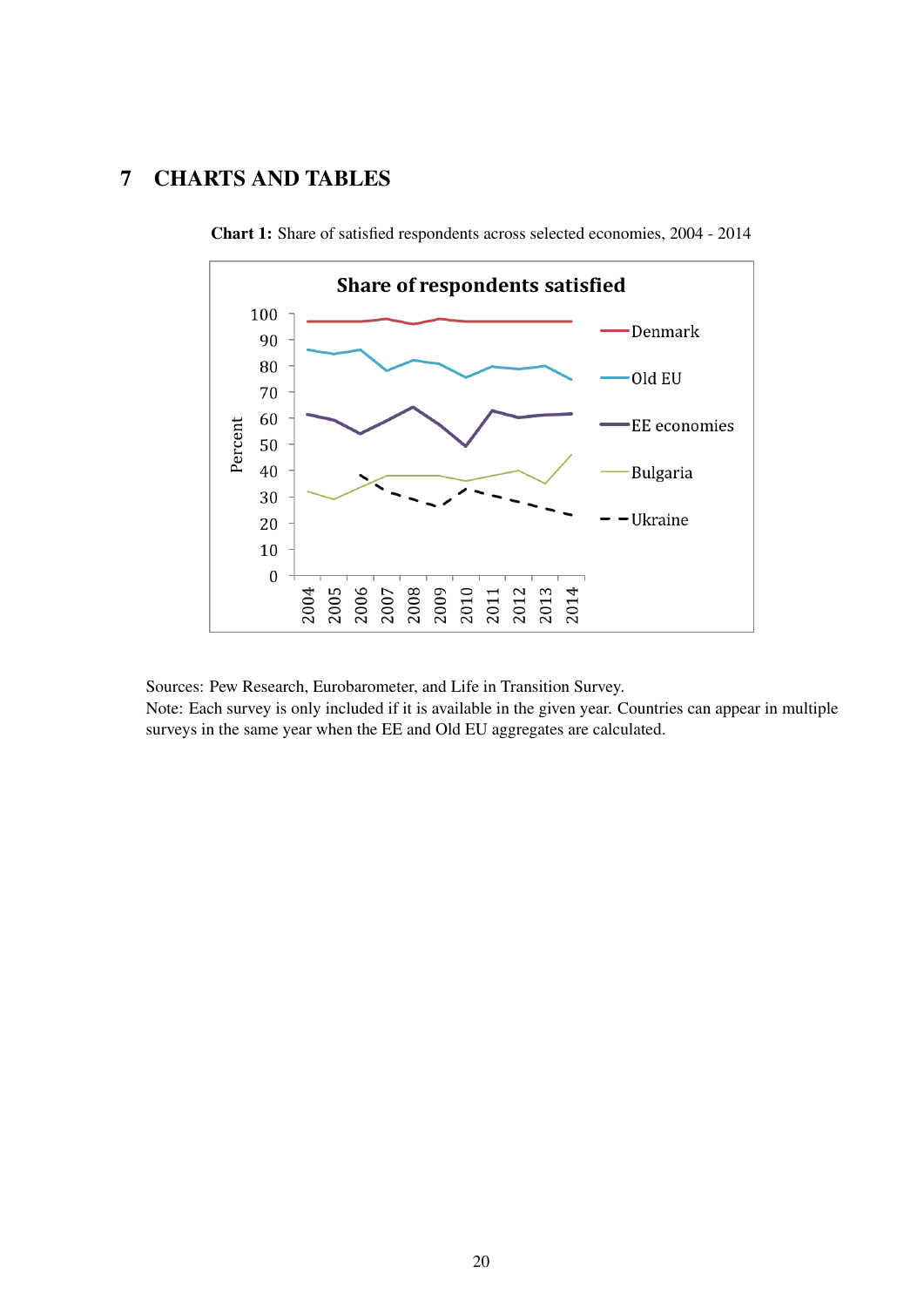# 7 CHARTS AND TABLES

<span id="page-20-0"></span>

Chart 1: Share of satisfied respondents across selected economies, 2004 - 2014

Sources: Pew Research, Eurobarometer, and Life in Transition Survey.

Note: Each survey is only included if it is available in the given year. Countries can appear in multiple surveys in the same year when the EE and Old EU aggregates are calculated.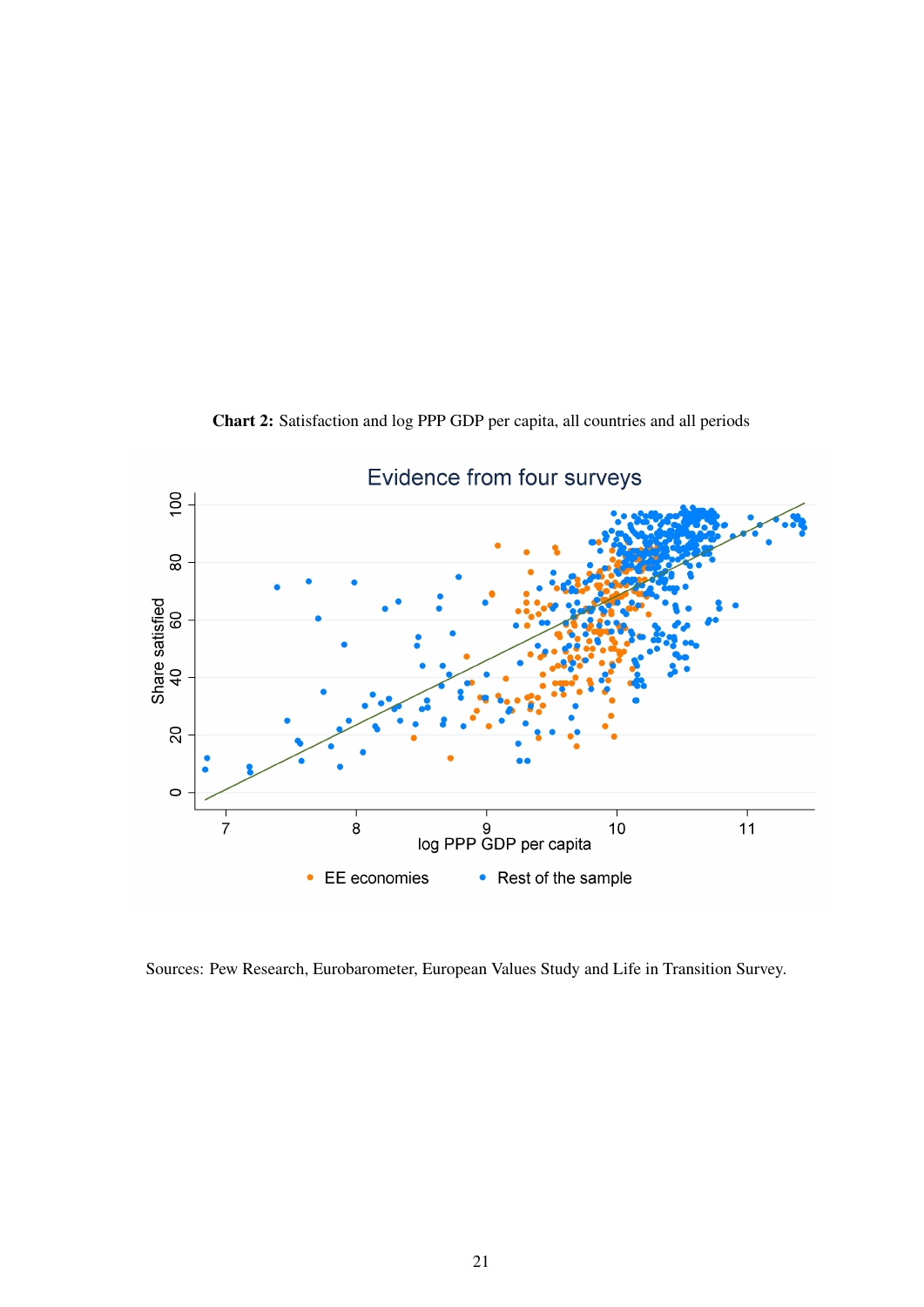<span id="page-21-0"></span>

Chart 2: Satisfaction and log PPP GDP per capita, all countries and all periods

Sources: Pew Research, Eurobarometer, European Values Study and Life in Transition Survey.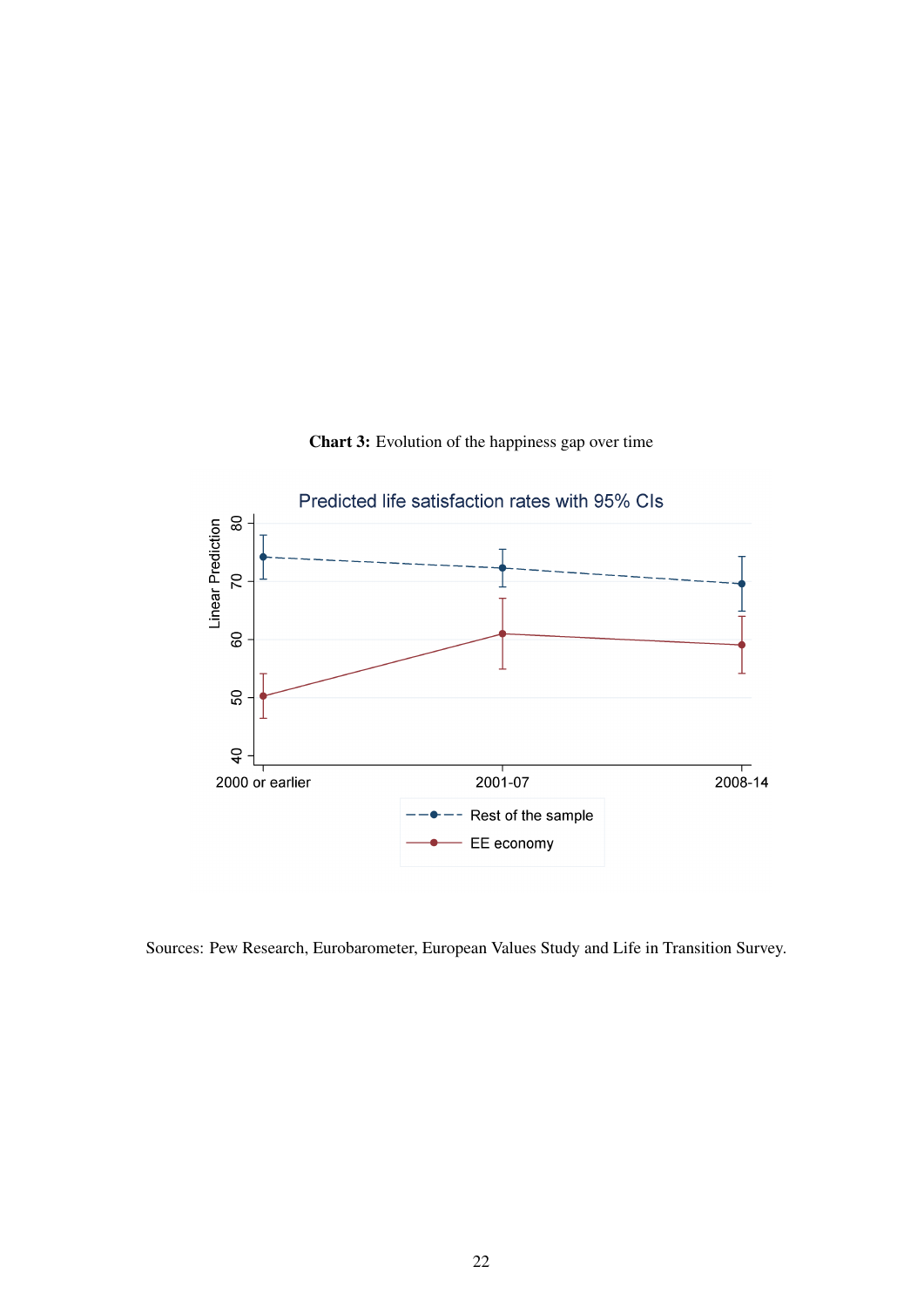<span id="page-22-0"></span>

Chart 3: Evolution of the happiness gap over time

Sources: Pew Research, Eurobarometer, European Values Study and Life in Transition Survey.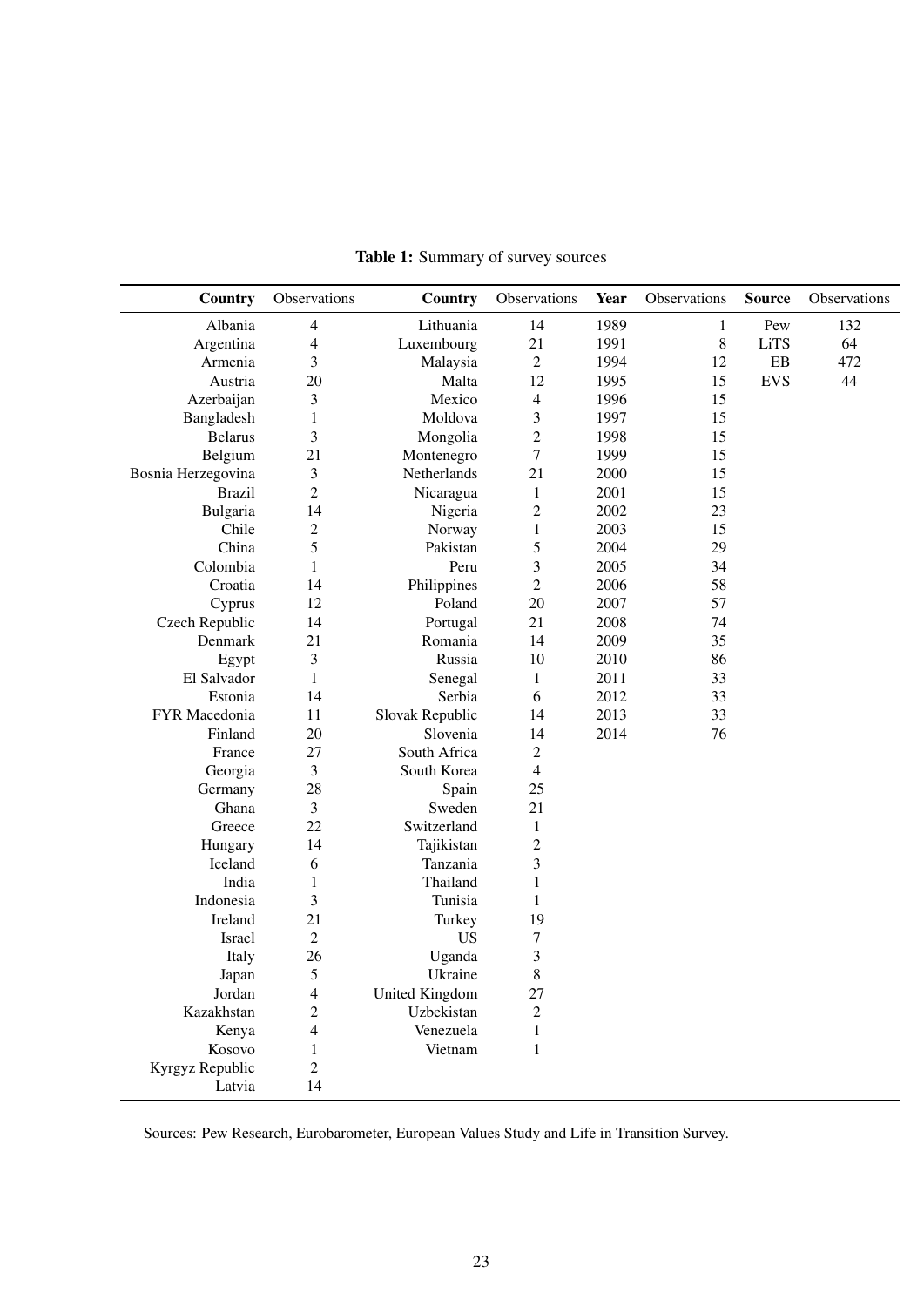<span id="page-23-0"></span>

| Country            | Observations            | <b>Country</b>  | Observations             | Year | Observations | <b>Source</b> | Observations |
|--------------------|-------------------------|-----------------|--------------------------|------|--------------|---------------|--------------|
| Albania            | 4                       | Lithuania       | 14                       | 1989 | $\mathbf{1}$ | Pew           | 132          |
| Argentina          | 4                       | Luxembourg      | 21                       | 1991 | $\,8\,$      | <b>LiTS</b>   | 64           |
| Armenia            | 3                       | Malaysia        | $\mathbf{2}$             | 1994 | 12           | EB            | 472          |
| Austria            | 20                      | Malta           | 12                       | 1995 | 15           | <b>EVS</b>    | 44           |
| Azerbaijan         | 3                       | Mexico          | $\overline{4}$           | 1996 | 15           |               |              |
| Bangladesh         | $\mathbf{1}$            | Moldova         | 3                        | 1997 | 15           |               |              |
| <b>Belarus</b>     | 3                       | Mongolia        | $\overline{c}$           | 1998 | 15           |               |              |
| Belgium            | 21                      | Montenegro      | $\boldsymbol{7}$         | 1999 | 15           |               |              |
| Bosnia Herzegovina | 3                       | Netherlands     | 21                       | 2000 | 15           |               |              |
| <b>Brazil</b>      | $\overline{c}$          | Nicaragua       | $\mathbf{1}$             | 2001 | 15           |               |              |
| Bulgaria           | 14                      | Nigeria         | $\overline{c}$           | 2002 | 23           |               |              |
| Chile              | $\overline{c}$          | Norway          | $\mathbf{1}$             | 2003 | 15           |               |              |
| China              | 5                       | Pakistan        | 5                        | 2004 | 29           |               |              |
| Colombia           | 1                       | Peru            | 3                        | 2005 | 34           |               |              |
| Croatia            | 14                      | Philippines     | $\overline{c}$           | 2006 | 58           |               |              |
| Cyprus             | 12                      | Poland          | 20                       | 2007 | 57           |               |              |
| Czech Republic     | 14                      | Portugal        | 21                       | 2008 | 74           |               |              |
| Denmark            | 21                      | Romania         | 14                       | 2009 | 35           |               |              |
| Egypt              | 3                       | Russia          | 10                       | 2010 | 86           |               |              |
| El Salvador        | 1                       | Senegal         | 1                        | 2011 | 33           |               |              |
| Estonia            | 14                      | Serbia          | 6                        | 2012 | 33           |               |              |
| FYR Macedonia      | 11                      | Slovak Republic | 14                       | 2013 | 33           |               |              |
| Finland            | 20                      | Slovenia        | 14                       | 2014 | 76           |               |              |
| France             | 27                      | South Africa    | $\overline{c}$           |      |              |               |              |
| Georgia            | 3                       | South Korea     | $\overline{\mathcal{L}}$ |      |              |               |              |
| Germany            | 28                      | Spain           | 25                       |      |              |               |              |
| Ghana              | 3                       | Sweden          | 21                       |      |              |               |              |
| Greece             | 22                      | Switzerland     | $\mathbf{1}$             |      |              |               |              |
| Hungary            | 14                      | Tajikistan      | $\overline{c}$           |      |              |               |              |
| Iceland            | 6                       | Tanzania        | 3                        |      |              |               |              |
| India              | $\mathbf{1}$            | Thailand        | $\mathbf{1}$             |      |              |               |              |
| Indonesia          | 3                       | Tunisia         | $\mathbf{1}$             |      |              |               |              |
| Ireland            | 21                      | Turkey          | 19                       |      |              |               |              |
| Israel             | $\sqrt{2}$              | <b>US</b>       | $\boldsymbol{7}$         |      |              |               |              |
| Italy              | 26                      | Uganda          | 3                        |      |              |               |              |
| Japan              | 5                       | Ukraine         | 8                        |      |              |               |              |
| Jordan             | 4                       | United Kingdom  | 27                       |      |              |               |              |
| Kazakhstan         | $\overline{\mathbf{c}}$ | Uzbekistan      | $\overline{c}$           |      |              |               |              |
| Kenya              | 4                       | Venezuela       | $\mathbf{1}$             |      |              |               |              |
| Kosovo             | $\mathbf{1}$            | Vietnam         | 1                        |      |              |               |              |
| Kyrgyz Republic    | $\overline{c}$          |                 |                          |      |              |               |              |
| Latvia             | 14                      |                 |                          |      |              |               |              |

Table 1: Summary of survey sources

Sources: Pew Research, Eurobarometer, European Values Study and Life in Transition Survey.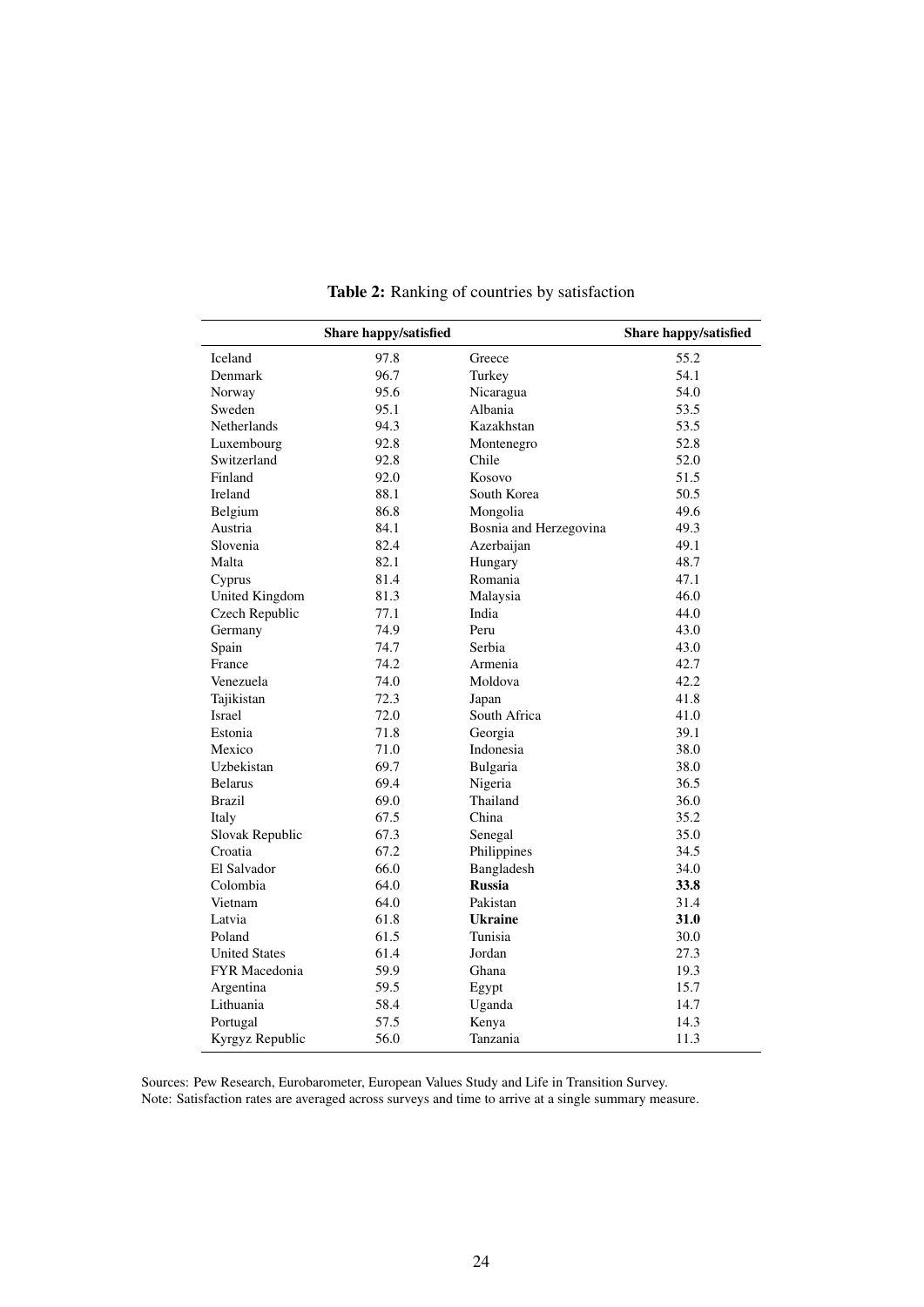<span id="page-24-0"></span>

|                       | Share happy/satisfied |                        | Share happy/satisfied |
|-----------------------|-----------------------|------------------------|-----------------------|
| Iceland               | 97.8                  | Greece                 | 55.2                  |
| Denmark               | 96.7                  | Turkey                 | 54.1                  |
| Norway                | 95.6                  | Nicaragua              | 54.0                  |
| Sweden                | 95.1                  | Albania                | 53.5                  |
| Netherlands           | 94.3                  | Kazakhstan             | 53.5                  |
| Luxembourg            | 92.8                  | Montenegro             | 52.8                  |
| Switzerland           | 92.8                  | Chile                  | 52.0                  |
| Finland               | 92.0                  | Kosovo                 | 51.5                  |
| Ireland               | 88.1                  | South Korea            | 50.5                  |
| Belgium               | 86.8                  | Mongolia               | 49.6                  |
| Austria               | 84.1                  | Bosnia and Herzegovina | 49.3                  |
| Slovenia              | 82.4                  | Azerbaijan             | 49.1                  |
| Malta                 | 82.1                  | Hungary                | 48.7                  |
| Cyprus                | 81.4                  | Romania                | 47.1                  |
| <b>United Kingdom</b> | 81.3                  | Malaysia               | 46.0                  |
| Czech Republic        | 77.1                  | India                  | 44.0                  |
| Germany               | 74.9                  | Peru                   | 43.0                  |
| Spain                 | 74.7                  | Serbia                 | 43.0                  |
| France                | 74.2                  | Armenia                | 42.7                  |
| Venezuela             | 74.0                  | Moldova                | 42.2                  |
| Tajikistan            | 72.3                  | Japan                  | 41.8                  |
| Israel                | 72.0                  | South Africa           | 41.0                  |
| Estonia               | 71.8                  | Georgia                | 39.1                  |
| Mexico                | 71.0                  | Indonesia              | 38.0                  |
| Uzbekistan            | 69.7                  | Bulgaria               | 38.0                  |
| <b>Belarus</b>        | 69.4                  | Nigeria                | 36.5                  |
| <b>Brazil</b>         | 69.0                  | Thailand               | 36.0                  |
| Italy                 | 67.5                  | China                  | 35.2                  |
| Slovak Republic       | 67.3                  | Senegal                | 35.0                  |
| Croatia               | 67.2                  | Philippines            | 34.5                  |
| El Salvador           | 66.0                  | Bangladesh             | 34.0                  |
| Colombia              | 64.0                  | <b>Russia</b>          | 33.8                  |
| Vietnam               | 64.0                  | Pakistan               | 31.4                  |
| Latvia                | 61.8                  | <b>Ukraine</b>         | 31.0                  |
| Poland                | 61.5                  | Tunisia                | 30.0                  |
| <b>United States</b>  | 61.4                  | Jordan                 | 27.3                  |
| FYR Macedonia         | 59.9                  | Ghana                  | 19.3                  |
| Argentina             | 59.5                  | Egypt                  | 15.7                  |
| Lithuania             | 58.4                  | Uganda                 | 14.7                  |
| Portugal              | 57.5                  | Kenya                  | 14.3                  |
| Kyrgyz Republic       | 56.0                  | Tanzania               | 11.3                  |

Table 2: Ranking of countries by satisfaction

Sources: Pew Research, Eurobarometer, European Values Study and Life in Transition Survey. Note: Satisfaction rates are averaged across surveys and time to arrive at a single summary measure.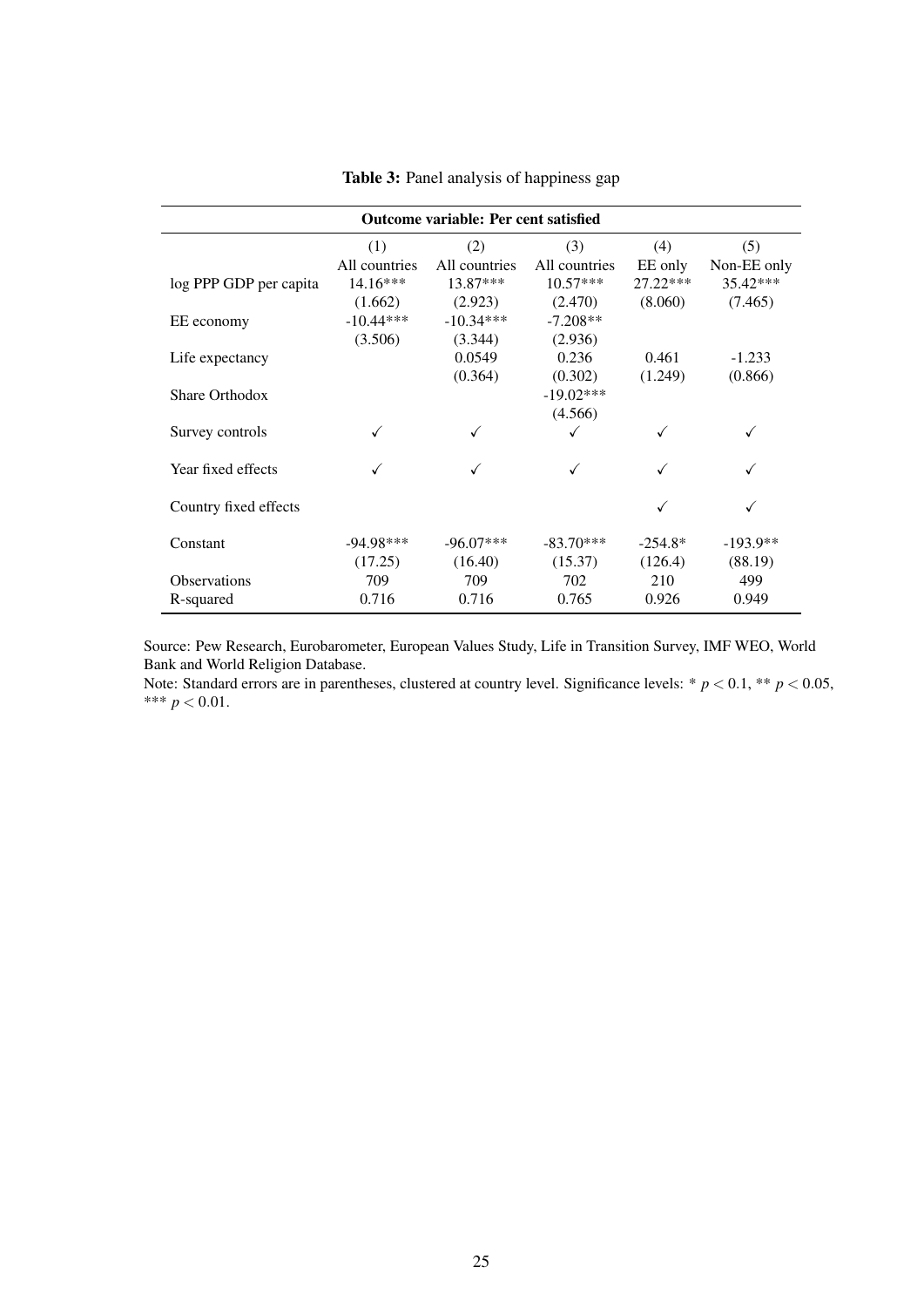<span id="page-25-0"></span>

| <b>Outcome variable: Per cent satisfied</b> |               |               |               |            |             |  |  |
|---------------------------------------------|---------------|---------------|---------------|------------|-------------|--|--|
|                                             | (1)           | (2)           | (3)           | (4)        | (5)         |  |  |
|                                             | All countries | All countries | All countries | EE only    | Non-EE only |  |  |
| log PPP GDP per capita                      | $14.16***$    | 13.87***      | $10.57***$    | $27.22***$ | 35.42***    |  |  |
|                                             | (1.662)       | (2.923)       | (2.470)       | (8.060)    | (7.465)     |  |  |
| EE economy                                  | $-10.44***$   | $-10.34***$   | $-7.208**$    |            |             |  |  |
|                                             | (3.506)       | (3.344)       | (2.936)       |            |             |  |  |
| Life expectancy                             |               | 0.0549        | 0.236         | 0.461      | $-1.233$    |  |  |
|                                             |               | (0.364)       | (0.302)       | (1.249)    | (0.866)     |  |  |
| Share Orthodox                              |               |               | $-19.02***$   |            |             |  |  |
|                                             |               |               | (4.566)       |            |             |  |  |
| Survey controls                             |               |               |               |            |             |  |  |
| Year fixed effects                          |               |               |               |            |             |  |  |
| Country fixed effects                       |               |               |               | √          |             |  |  |
|                                             |               |               |               |            |             |  |  |
| Constant                                    | $-94.98***$   | $-96.07***$   | $-83.70***$   | $-254.8*$  | $-193.9**$  |  |  |
|                                             | (17.25)       | (16.40)       | (15.37)       | (126.4)    | (88.19)     |  |  |
| <b>Observations</b>                         | 709           | 709           | 702           | 210        | 499         |  |  |
| R-squared                                   | 0.716         | 0.716         | 0.765         | 0.926      | 0.949       |  |  |

Table 3: Panel analysis of happiness gap

Source: Pew Research, Eurobarometer, European Values Study, Life in Transition Survey, IMF WEO, World Bank and World Religion Database.

Note: Standard errors are in parentheses, clustered at country level. Significance levels: \*  $p < 0.1$ , \*\*  $p < 0.05$ , \*\*\*  $p < 0.01$ .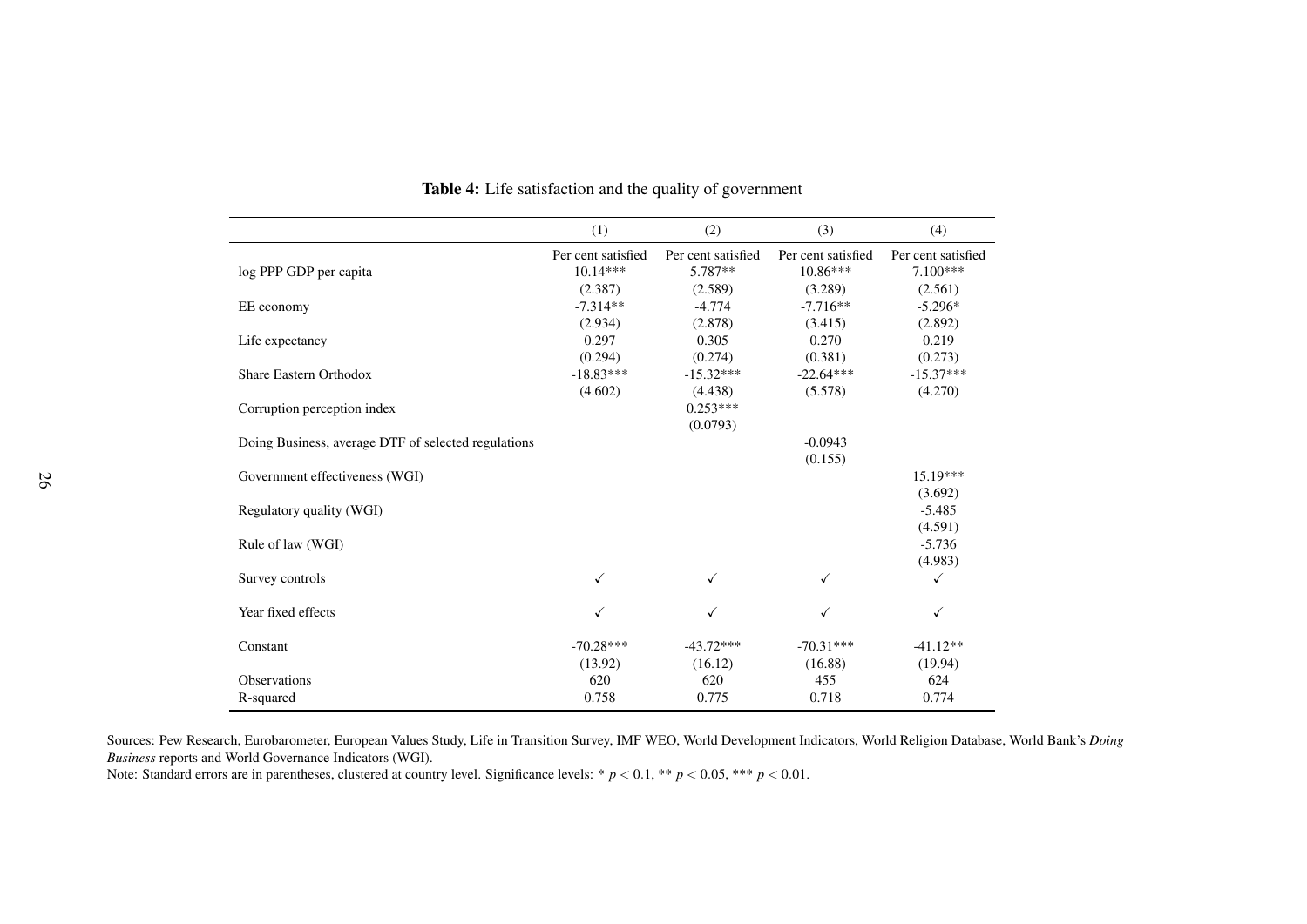|                                                     | (1)                | (2)                | (3)                | (4)                |
|-----------------------------------------------------|--------------------|--------------------|--------------------|--------------------|
|                                                     | Per cent satisfied | Per cent satisfied | Per cent satisfied | Per cent satisfied |
| log PPP GDP per capita                              | $10.14***$         | 5.787**            | $10.86***$         | $7.100***$         |
|                                                     | (2.387)            | (2.589)            | (3.289)            | (2.561)            |
| EE economy                                          | $-7.314**$         | $-4.774$           | $-7.716**$         | $-5.296*$          |
|                                                     | (2.934)            | (2.878)            | (3.415)            | (2.892)            |
| Life expectancy                                     | 0.297              | 0.305              | 0.270              | 0.219              |
|                                                     | (0.294)            | (0.274)            | (0.381)            | (0.273)            |
| <b>Share Eastern Orthodox</b>                       | $-18.83***$        | $-15.32***$        | $-22.64***$        | $-15.37***$        |
|                                                     | (4.602)            | (4.438)            | (5.578)            | (4.270)            |
| Corruption perception index                         |                    | $0.253***$         |                    |                    |
|                                                     |                    | (0.0793)           |                    |                    |
| Doing Business, average DTF of selected regulations |                    |                    | $-0.0943$          |                    |
|                                                     |                    |                    | (0.155)            |                    |
| Government effectiveness (WGI)                      |                    |                    |                    | 15.19***           |
|                                                     |                    |                    |                    | (3.692)            |
| Regulatory quality (WGI)                            |                    |                    |                    | $-5.485$           |
|                                                     |                    |                    |                    | (4.591)            |
| Rule of law (WGI)                                   |                    |                    |                    | $-5.736$           |
|                                                     |                    |                    |                    | (4.983)            |
| Survey controls                                     | ✓                  |                    |                    |                    |
| Year fixed effects                                  |                    |                    |                    | ✓                  |
| Constant                                            | $-70.28***$        | $-43.72***$        | $-70.31***$        | $-41.12**$         |
|                                                     | (13.92)            | (16.12)            | (16.88)            | (19.94)            |
| Observations                                        | 620                | 620                | 455                | 624                |
| R-squared                                           | 0.758              | 0.775              | 0.718              | 0.774              |

Table 4: Life satisfaction and the quality of governmen<sup>t</sup>

Sources: Pew Research, Eurobarometer, European Values Study, Life in Transition Survey, IMF WEO, World Development Indicators, World Religion Database, World Bank's *DoingBusiness* reports and World Governance Indicators (WGI).

<span id="page-26-0"></span>Note: Standard errors are in parentheses, clustered at country level. Significance levels: \* *<sup>p</sup>* <sup>&</sup>lt; <sup>0</sup>.1, \*\* *<sup>p</sup>* <sup>&</sup>lt; <sup>0</sup>.05, \*\*\* *<sup>p</sup>* <sup>&</sup>lt; <sup>0</sup>.01.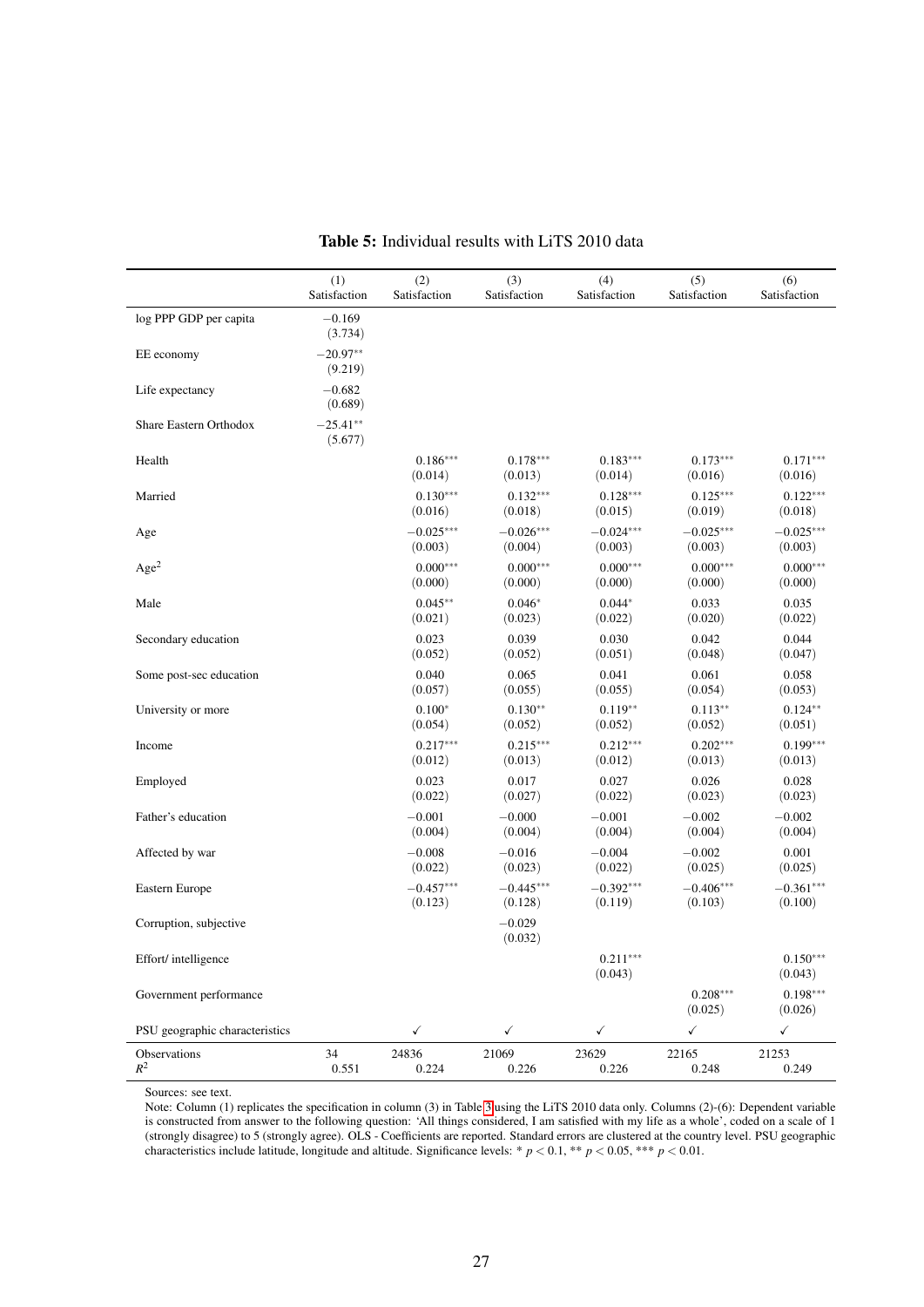<span id="page-27-0"></span>

|                                | (1)<br>Satisfaction   | (2)<br>Satisfaction    | (3)<br>Satisfaction    | (4)<br>Satisfaction    | (5)<br>Satisfaction    | (6)<br>Satisfaction    |
|--------------------------------|-----------------------|------------------------|------------------------|------------------------|------------------------|------------------------|
| log PPP GDP per capita         | $-0.169$<br>(3.734)   |                        |                        |                        |                        |                        |
| EE economy                     | $-20.97**$<br>(9.219) |                        |                        |                        |                        |                        |
| Life expectancy                | $-0.682$<br>(0.689)   |                        |                        |                        |                        |                        |
| Share Eastern Orthodox         | $-25.41**$<br>(5.677) |                        |                        |                        |                        |                        |
| Health                         |                       | $0.186***$<br>(0.014)  | $0.178***$<br>(0.013)  | $0.183***$<br>(0.014)  | $0.173***$<br>(0.016)  | $0.171***$<br>(0.016)  |
| Married                        |                       | $0.130***$<br>(0.016)  | $0.132***$<br>(0.018)  | $0.128***$<br>(0.015)  | $0.125***$<br>(0.019)  | $0.122***$<br>(0.018)  |
| Age                            |                       | $-0.025***$<br>(0.003) | $-0.026***$<br>(0.004) | $-0.024***$<br>(0.003) | $-0.025***$<br>(0.003) | $-0.025***$<br>(0.003) |
| Age <sup>2</sup>               |                       | $0.000***$<br>(0.000)  | $0.000***$<br>(0.000)  | $0.000***$<br>(0.000)  | $0.000***$<br>(0.000)  | $0.000***$<br>(0.000)  |
| Male                           |                       | $0.045**$<br>(0.021)   | $0.046*$<br>(0.023)    | $0.044*$<br>(0.022)    | 0.033<br>(0.020)       | 0.035<br>(0.022)       |
| Secondary education            |                       | 0.023<br>(0.052)       | 0.039<br>(0.052)       | 0.030<br>(0.051)       | 0.042<br>(0.048)       | 0.044<br>(0.047)       |
| Some post-sec education        |                       | 0.040<br>(0.057)       | 0.065<br>(0.055)       | 0.041<br>(0.055)       | 0.061<br>(0.054)       | 0.058<br>(0.053)       |
| University or more             |                       | $0.100*$<br>(0.054)    | $0.130**$<br>(0.052)   | $0.119**$<br>(0.052)   | $0.113**$<br>(0.052)   | $0.124**$<br>(0.051)   |
| Income                         |                       | $0.217***$<br>(0.012)  | $0.215***$<br>(0.013)  | $0.212***$<br>(0.012)  | $0.202***$<br>(0.013)  | $0.199***$<br>(0.013)  |
| Employed                       |                       | 0.023<br>(0.022)       | 0.017<br>(0.027)       | 0.027<br>(0.022)       | 0.026<br>(0.023)       | 0.028<br>(0.023)       |
| Father's education             |                       | $-0.001$<br>(0.004)    | $-0.000$<br>(0.004)    | $-0.001$<br>(0.004)    | $-0.002$<br>(0.004)    | $-0.002$<br>(0.004)    |
| Affected by war                |                       | $-0.008$<br>(0.022)    | $-0.016$<br>(0.023)    | $-0.004$<br>(0.022)    | $-0.002$<br>(0.025)    | 0.001<br>(0.025)       |
| Eastern Europe                 |                       | $-0.457***$<br>(0.123) | $-0.445***$<br>(0.128) | $-0.392***$<br>(0.119) | $-0.406***$<br>(0.103) | $-0.361***$<br>(0.100) |
| Corruption, subjective         |                       |                        | $-0.029$<br>(0.032)    |                        |                        |                        |
| Effort/intelligence            |                       |                        |                        | $0.211***$<br>(0.043)  |                        | $0.150***$<br>(0.043)  |
| Government performance         |                       |                        |                        |                        | $0.208***$<br>(0.025)  | $0.198***$<br>(0.026)  |
| PSU geographic characteristics |                       | $\checkmark$           | $\checkmark$           | $\checkmark$           | $\checkmark$           | $\checkmark$           |
| Observations<br>$R^2$          | 34<br>0.551           | 24836<br>0.224         | 21069<br>0.226         | 23629<br>0.226         | 22165<br>0.248         | 21253<br>0.249         |

Table 5: Individual results with LiTS 2010 data

Sources: see text.

Note: Column (1) replicates the specification in column (3) in Table [3](#page-25-0) using the LiTS 2010 data only. Columns (2)-(6): Dependent variable is constructed from answer to the following question: 'All things considered, I am satisfied with my life as a whole', coded on a scale of 1 (strongly disagree) to 5 (strongly agree). OLS - Coefficients are reported. Standard errors are clustered at the country level. PSU geographic characteristics include latitude, longitude and altitude. Significance levels: \* *p* < 0.1, \*\* *p* < 0.05, \*\*\* *p* < 0.01.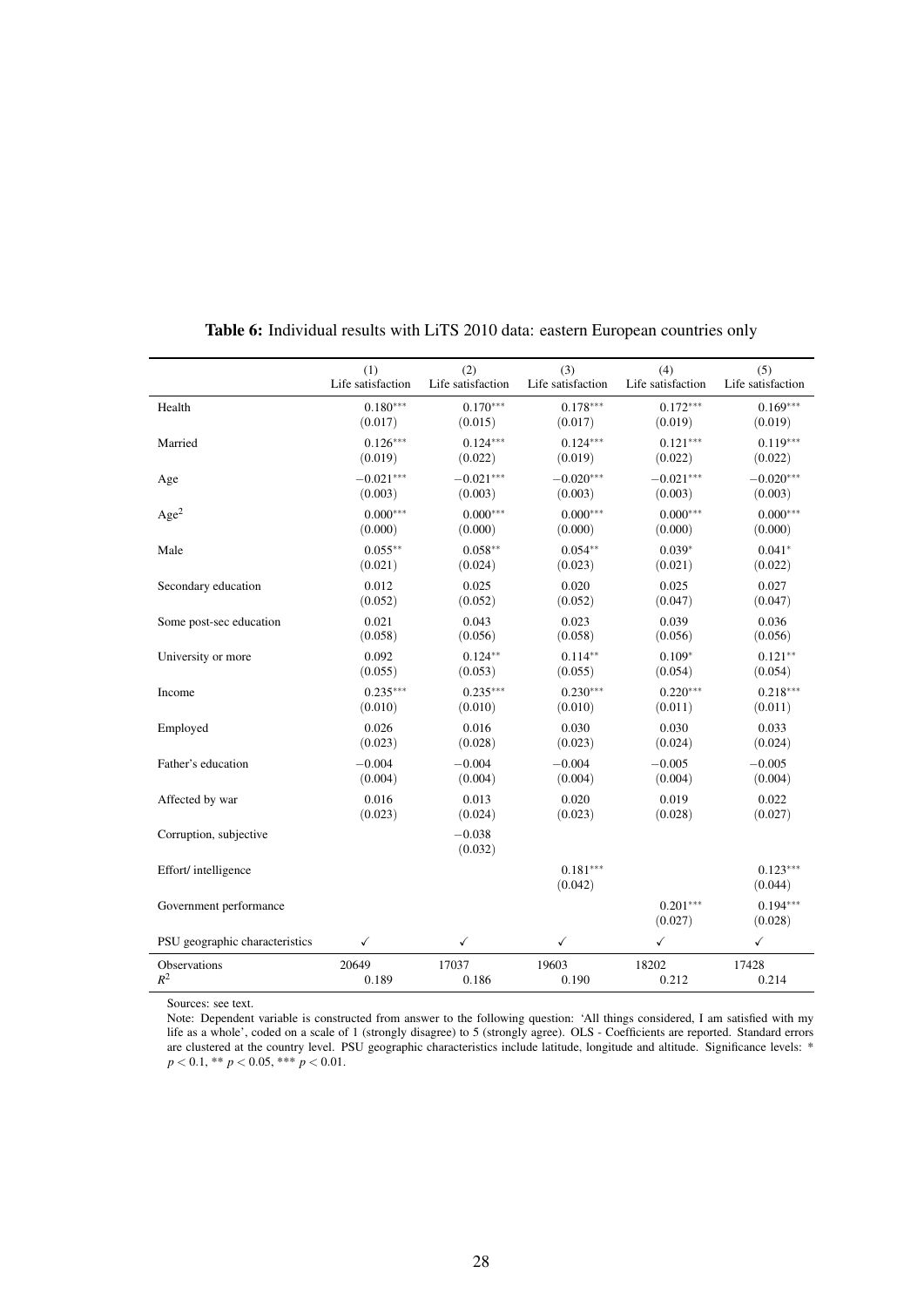<span id="page-28-0"></span>

|                                | (1)               | (2)                 | (3)                   | (4)                   | (5)                   |
|--------------------------------|-------------------|---------------------|-----------------------|-----------------------|-----------------------|
|                                | Life satisfaction | Life satisfaction   | Life satisfaction     | Life satisfaction     | Life satisfaction     |
| Health                         | $0.180***$        | $0.170***$          | $0.178***$            | $0.172***$            | $0.169***$            |
|                                | (0.017)           | (0.015)             | (0.017)               | (0.019)               | (0.019)               |
| Married                        | $0.126***$        | $0.124***$          | $0.124***$            | $0.121***$            | $0.119***$            |
|                                | (0.019)           | (0.022)             | (0.019)               | (0.022)               | (0.022)               |
| Age                            | $-0.021***$       | $-0.021***$         | $-0.020***$           | $-0.021***$           | $-0.020***$           |
|                                | (0.003)           | (0.003)             | (0.003)               | (0.003)               | (0.003)               |
| Age <sup>2</sup>               | $0.000***$        | $0.000***$          | $0.000***$            | $0.000***$            | $0.000***$            |
|                                | (0.000)           | (0.000)             | (0.000)               | (0.000)               | (0.000)               |
| Male                           | $0.055***$        | $0.058**$           | $0.054**$             | $0.039*$              | $0.041*$              |
|                                | (0.021)           | (0.024)             | (0.023)               | (0.021)               | (0.022)               |
| Secondary education            | 0.012             | 0.025               | 0.020                 | 0.025                 | 0.027                 |
|                                | (0.052)           | (0.052)             | (0.052)               | (0.047)               | (0.047)               |
| Some post-sec education        | 0.021             | 0.043               | 0.023                 | 0.039                 | 0.036                 |
|                                | (0.058)           | (0.056)             | (0.058)               | (0.056)               | (0.056)               |
| University or more             | 0.092             | $0.124**$           | $0.114**$             | $0.109*$              | $0.121**$             |
|                                | (0.055)           | (0.053)             | (0.055)               | (0.054)               | (0.054)               |
| Income                         | $0.235***$        | $0.235***$          | $0.230***$            | $0.220***$            | $0.218***$            |
|                                | (0.010)           | (0.010)             | (0.010)               | (0.011)               | (0.011)               |
| Employed                       | 0.026             | 0.016               | 0.030                 | 0.030                 | 0.033                 |
|                                | (0.023)           | (0.028)             | (0.023)               | (0.024)               | (0.024)               |
| Father's education             | $-0.004$          | $-0.004$            | $-0.004$              | $-0.005$              | $-0.005$              |
|                                | (0.004)           | (0.004)             | (0.004)               | (0.004)               | (0.004)               |
| Affected by war                | 0.016             | 0.013               | 0.020                 | 0.019                 | 0.022                 |
|                                | (0.023)           | (0.024)             | (0.023)               | (0.028)               | (0.027)               |
| Corruption, subjective         |                   | $-0.038$<br>(0.032) |                       |                       |                       |
| Effort/intelligence            |                   |                     | $0.181***$<br>(0.042) |                       | $0.123***$<br>(0.044) |
| Government performance         |                   |                     |                       | $0.201***$<br>(0.027) | $0.194***$<br>(0.028) |
| PSU geographic characteristics | $\checkmark$      | ✓                   | $\checkmark$          | ✓                     | $\checkmark$          |
| Observations                   | 20649             | 17037               | 19603                 | 18202                 | 17428                 |
| $R^2$                          | 0.189             | 0.186               | 0.190                 | 0.212                 | 0.214                 |

#### Table 6: Individual results with LiTS 2010 data: eastern European countries only

Sources: see text.

Note: Dependent variable is constructed from answer to the following question: 'All things considered, I am satisfied with my life as a whole', coded on a scale of 1 (strongly disagree) to 5 (strongly agree). OLS - Coefficients are reported. Standard errors are clustered at the country level. PSU geographic characteristics include latitude, longitude and altitude. Significance levels: \* *p* < 0.1, \*\* *p* < 0.05, \*\*\* *p* < 0.01.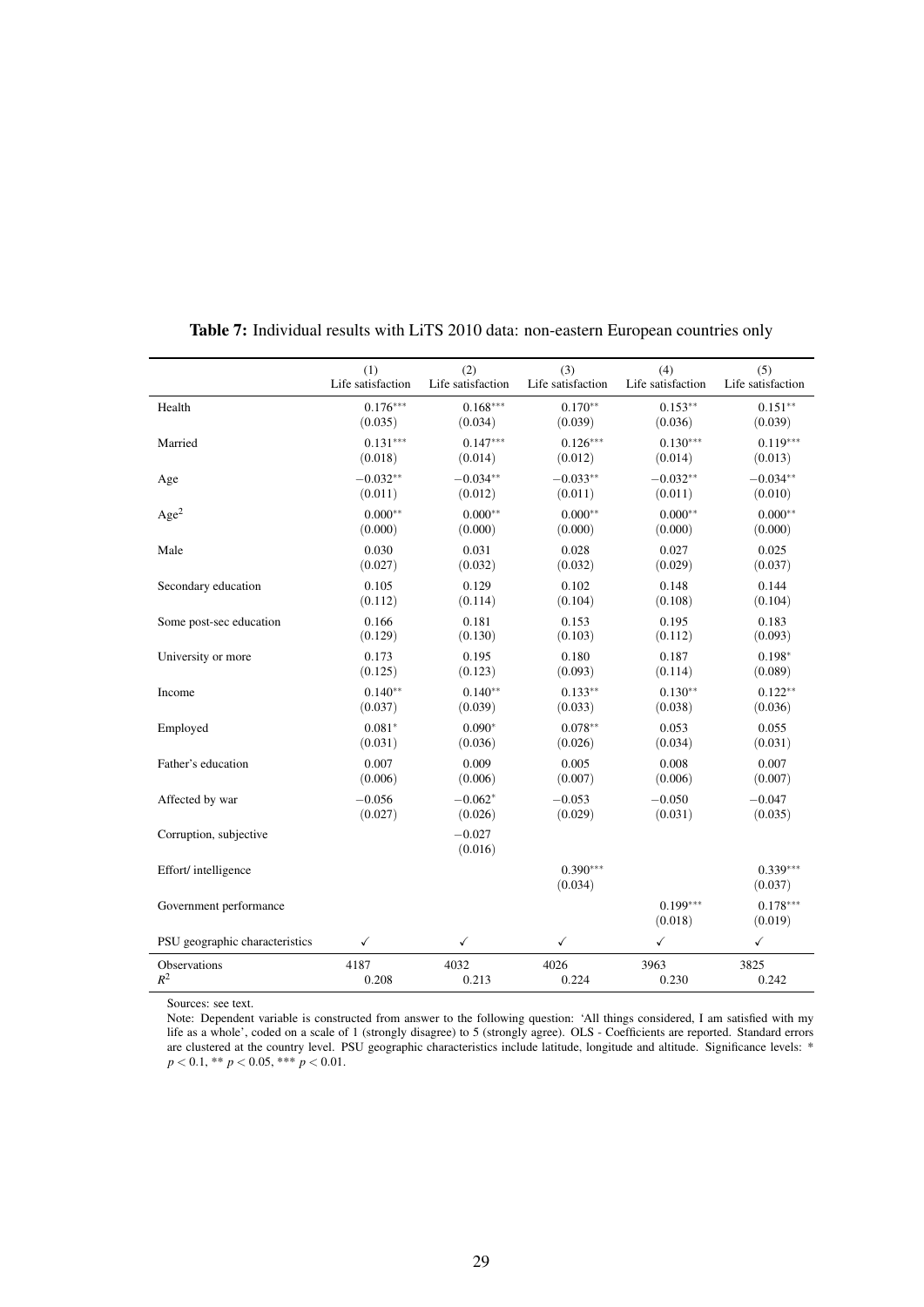<span id="page-29-0"></span>

|                                | (1)               | (2)                 | (3)                   | (4)                   | (5)                   |
|--------------------------------|-------------------|---------------------|-----------------------|-----------------------|-----------------------|
|                                | Life satisfaction | Life satisfaction   | Life satisfaction     | Life satisfaction     | Life satisfaction     |
| Health                         | $0.176***$        | $0.168***$          | $0.170**$             | $0.153**$             | $0.151**$             |
|                                | (0.035)           | (0.034)             | (0.039)               | (0.036)               | (0.039)               |
| Married                        | $0.131***$        | $0.147***$          | $0.126***$            | $0.130***$            | $0.119***$            |
|                                | (0.018)           | (0.014)             | (0.012)               | (0.014)               | (0.013)               |
| Age                            | $-0.032**$        | $-0.034**$          | $-0.033**$            | $-0.032**$            | $-0.034**$            |
|                                | (0.011)           | (0.012)             | (0.011)               | (0.011)               | (0.010)               |
| Age <sup>2</sup>               | $0.000**$         | $0.000**$           | $0.000**$             | $0.000**$             | $0.000**$             |
|                                | (0.000)           | (0.000)             | (0.000)               | (0.000)               | (0.000)               |
| Male                           | 0.030             | 0.031               | 0.028                 | 0.027                 | 0.025                 |
|                                | (0.027)           | (0.032)             | (0.032)               | (0.029)               | (0.037)               |
| Secondary education            | 0.105             | 0.129               | 0.102                 | 0.148                 | 0.144                 |
|                                | (0.112)           | (0.114)             | (0.104)               | (0.108)               | (0.104)               |
| Some post-sec education        | 0.166             | 0.181               | 0.153                 | 0.195                 | 0.183                 |
|                                | (0.129)           | (0.130)             | (0.103)               | (0.112)               | (0.093)               |
| University or more             | 0.173             | 0.195               | 0.180                 | 0.187                 | $0.198*$              |
|                                | (0.125)           | (0.123)             | (0.093)               | (0.114)               | (0.089)               |
| Income                         | $0.140**$         | $0.140**$           | $0.133**$             | $0.130**$             | $0.122**$             |
|                                | (0.037)           | (0.039)             | (0.033)               | (0.038)               | (0.036)               |
| Employed                       | $0.081*$          | $0.090*$            | $0.078**$             | 0.053                 | 0.055                 |
|                                | (0.031)           | (0.036)             | (0.026)               | (0.034)               | (0.031)               |
| Father's education             | 0.007             | 0.009               | 0.005                 | 0.008                 | 0.007                 |
|                                | (0.006)           | (0.006)             | (0.007)               | (0.006)               | (0.007)               |
| Affected by war                | $-0.056$          | $-0.062*$           | $-0.053$              | $-0.050$              | $-0.047$              |
|                                | (0.027)           | (0.026)             | (0.029)               | (0.031)               | (0.035)               |
| Corruption, subjective         |                   | $-0.027$<br>(0.016) |                       |                       |                       |
| Effort/intelligence            |                   |                     | $0.390***$<br>(0.034) |                       | $0.339***$<br>(0.037) |
| Government performance         |                   |                     |                       | $0.199***$<br>(0.018) | $0.178***$<br>(0.019) |
| PSU geographic characteristics | $\checkmark$      | $\checkmark$        | $\checkmark$          | $\checkmark$          | $\checkmark$          |
| Observations                   | 4187              | 4032                | 4026                  | 3963                  | 3825                  |
| $R^2$                          | 0.208             | 0.213               | 0.224                 | 0.230                 | 0.242                 |

#### Table 7: Individual results with LiTS 2010 data: non-eastern European countries only

Sources: see text.

Note: Dependent variable is constructed from answer to the following question: 'All things considered, I am satisfied with my life as a whole', coded on a scale of 1 (strongly disagree) to 5 (strongly agree). OLS - Coefficients are reported. Standard errors are clustered at the country level. PSU geographic characteristics include latitude, longitude and altitude. Significance levels: \* *p* < 0.1, \*\* *p* < 0.05, \*\*\* *p* < 0.01.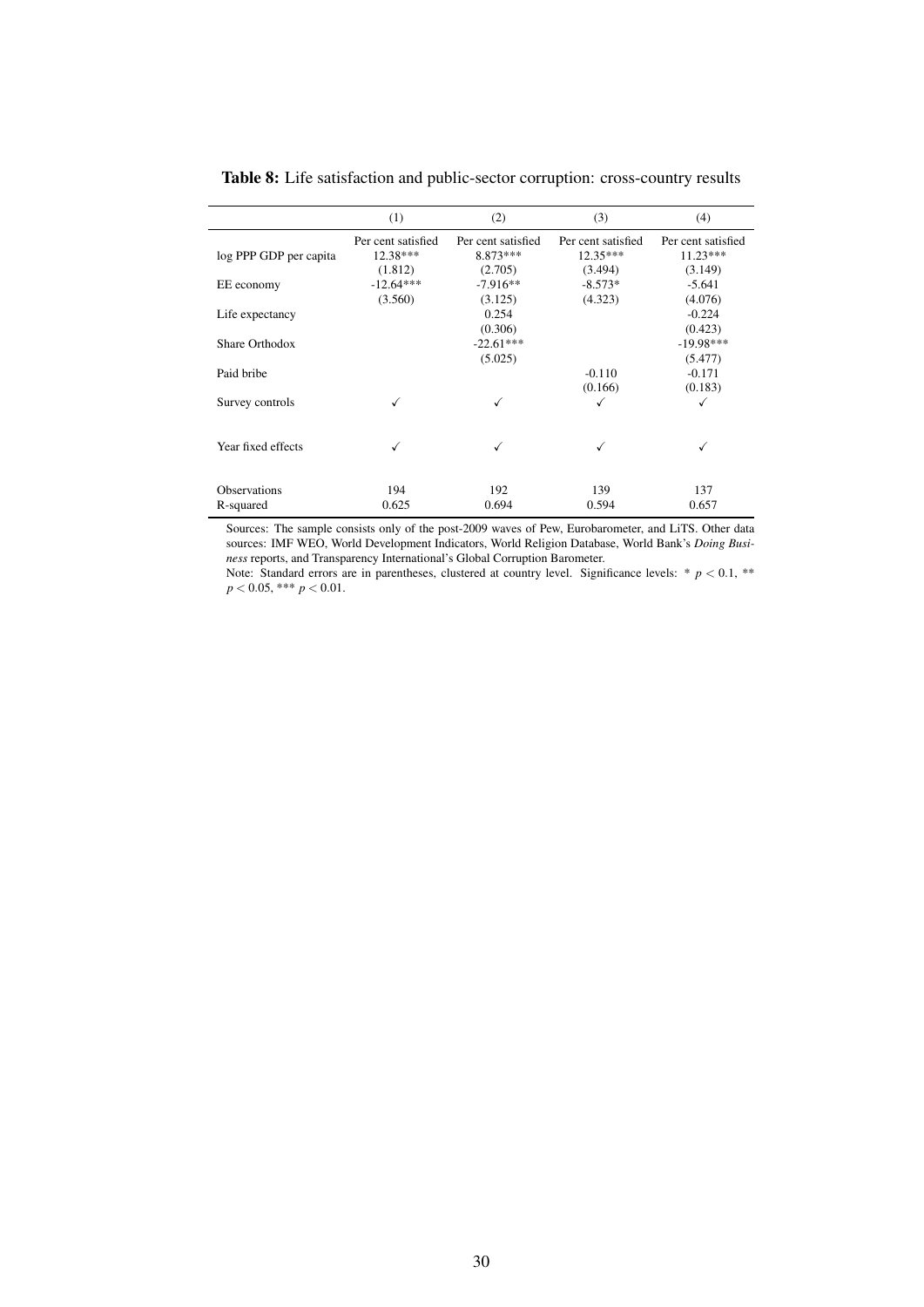<span id="page-30-0"></span>

|                        | (1)                | (2)                | (3)                | (4)                |
|------------------------|--------------------|--------------------|--------------------|--------------------|
|                        | Per cent satisfied | Per cent satisfied | Per cent satisfied | Per cent satisfied |
| log PPP GDP per capita | $12.38***$         | 8.873 ***          | $12.35***$         | $11.23***$         |
|                        | (1.812)            | (2.705)            | (3.494)            | (3.149)            |
| EE economy             | $-12.64***$        | $-7.916**$         | $-8.573*$          | $-5.641$           |
|                        | (3.560)            | (3.125)            | (4.323)            | (4.076)            |
| Life expectancy        |                    | 0.254              |                    | $-0.224$           |
|                        |                    | (0.306)            |                    | (0.423)            |
| Share Orthodox         |                    | $-22.61***$        |                    | $-19.98***$        |
|                        |                    | (5.025)            |                    | (5.477)            |
| Paid bribe             |                    |                    | $-0.110$           | $-0.171$           |
|                        |                    |                    | (0.166)            | (0.183)            |
| Survey controls        |                    | √                  | ✓                  | ✓                  |
|                        |                    |                    |                    |                    |
| Year fixed effects     |                    | √                  | √                  | √                  |
|                        |                    |                    |                    |                    |
| <b>Observations</b>    | 194                | 192                | 139                | 137                |
| R-squared              | 0.625              | 0.694              | 0.594              | 0.657              |

Table 8: Life satisfaction and public-sector corruption: cross-country results

Sources: The sample consists only of the post-2009 waves of Pew, Eurobarometer, and LiTS. Other data sources: IMF WEO, World Development Indicators, World Religion Database, World Bank's *Doing Business* reports, and Transparency International's Global Corruption Barometer.

Note: Standard errors are in parentheses, clustered at country level. Significance levels:  $* p < 0.1$ ,  $**$ *p* < 0.05, \*\*\* *p* < 0.01.